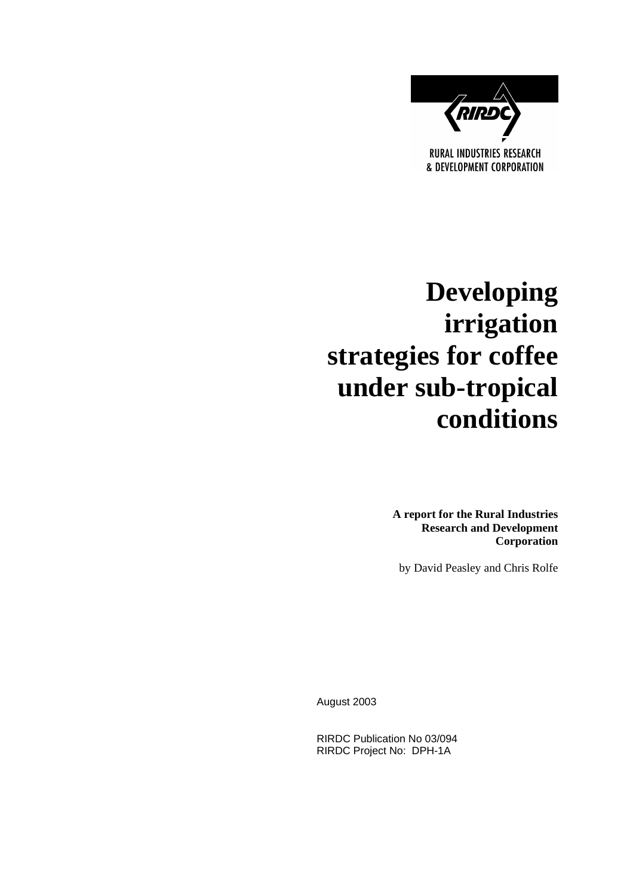

# **Developing irrigation strategies for coffee under sub-tropical conditions**

**A report for the Rural Industries Research and Development Corporation** 

by David Peasley and Chris Rolfe

August 2003

RIRDC Publication No 03/094 RIRDC Project No: DPH-1A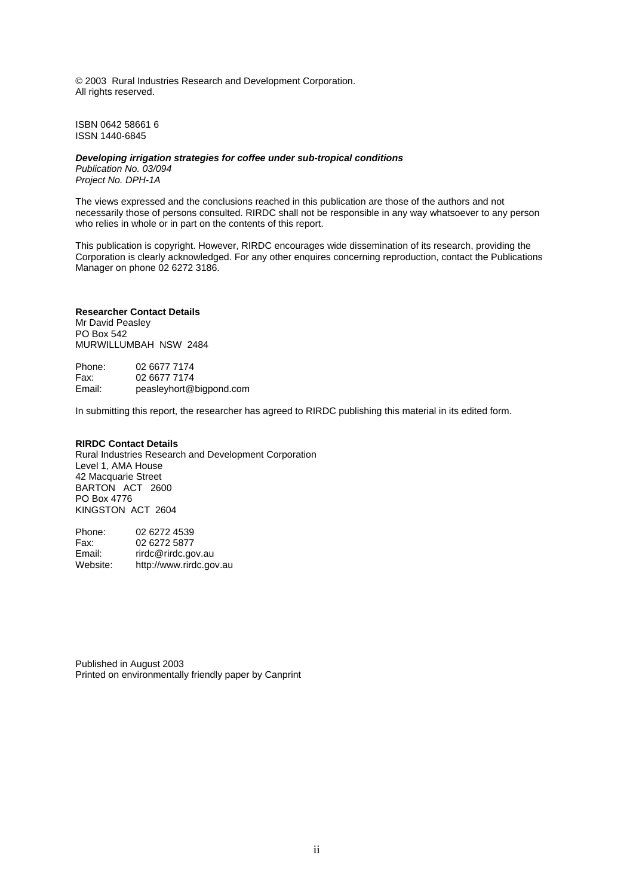© 2003 Rural Industries Research and Development Corporation. All rights reserved.

ISBN 0642 58661 6 ISSN 1440-6845

#### *Developing irrigation strategies for coffee under sub-tropical conditions*

*Publication No. 03/094 Project No. DPH-1A* 

The views expressed and the conclusions reached in this publication are those of the authors and not necessarily those of persons consulted. RIRDC shall not be responsible in any way whatsoever to any person who relies in whole or in part on the contents of this report.

This publication is copyright. However, RIRDC encourages wide dissemination of its research, providing the Corporation is clearly acknowledged. For any other enquires concerning reproduction, contact the Publications Manager on phone 02 6272 3186.

#### **Researcher Contact Details**

Mr David Peasley PO Box 542 MURWILLUMBAH NSW 2484

Phone: 02 6677 7174 Fax: 02 6677 7174<br>Email: peaslevhort@ peasleyhort@bigpond.com

In submitting this report, the researcher has agreed to RIRDC publishing this material in its edited form.

#### **RIRDC Contact Details**

Rural Industries Research and Development Corporation Level 1, AMA House 42 Macquarie Street BARTON ACT 2600 PO Box 4776 KINGSTON ACT 2604

| Phone:   | 02 6272 4539            |
|----------|-------------------------|
| Fax:     | 02 6272 5877            |
| Email:   | rirdc@rirdc.gov.au      |
| Website: | http://www.rirdc.gov.au |

Published in August 2003 Printed on environmentally friendly paper by Canprint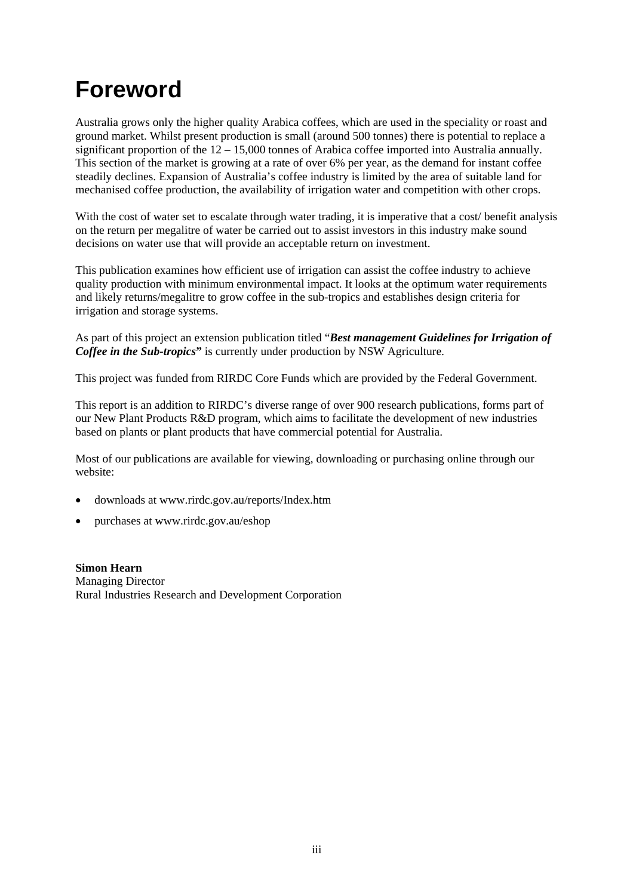# **Foreword**

Australia grows only the higher quality Arabica coffees, which are used in the speciality or roast and ground market. Whilst present production is small (around 500 tonnes) there is potential to replace a significant proportion of the 12 – 15,000 tonnes of Arabica coffee imported into Australia annually. This section of the market is growing at a rate of over 6% per year, as the demand for instant coffee steadily declines. Expansion of Australia's coffee industry is limited by the area of suitable land for mechanised coffee production, the availability of irrigation water and competition with other crops.

With the cost of water set to escalate through water trading, it is imperative that a cost/ benefit analysis on the return per megalitre of water be carried out to assist investors in this industry make sound decisions on water use that will provide an acceptable return on investment.

This publication examines how efficient use of irrigation can assist the coffee industry to achieve quality production with minimum environmental impact. It looks at the optimum water requirements and likely returns/megalitre to grow coffee in the sub-tropics and establishes design criteria for irrigation and storage systems.

As part of this project an extension publication titled "*Best management Guidelines for Irrigation of Coffee in the Sub-tropics*" is currently under production by NSW Agriculture.

This project was funded from RIRDC Core Funds which are provided by the Federal Government.

This report is an addition to RIRDC's diverse range of over 900 research publications, forms part of our New Plant Products R&D program, which aims to facilitate the development of new industries based on plants or plant products that have commercial potential for Australia.

Most of our publications are available for viewing, downloading or purchasing online through our website:

- downloads at www.rirdc.gov.au/reports/Index.htm
- purchases at www.rirdc.gov.au/eshop

**Simon Hearn**  Managing Director Rural Industries Research and Development Corporation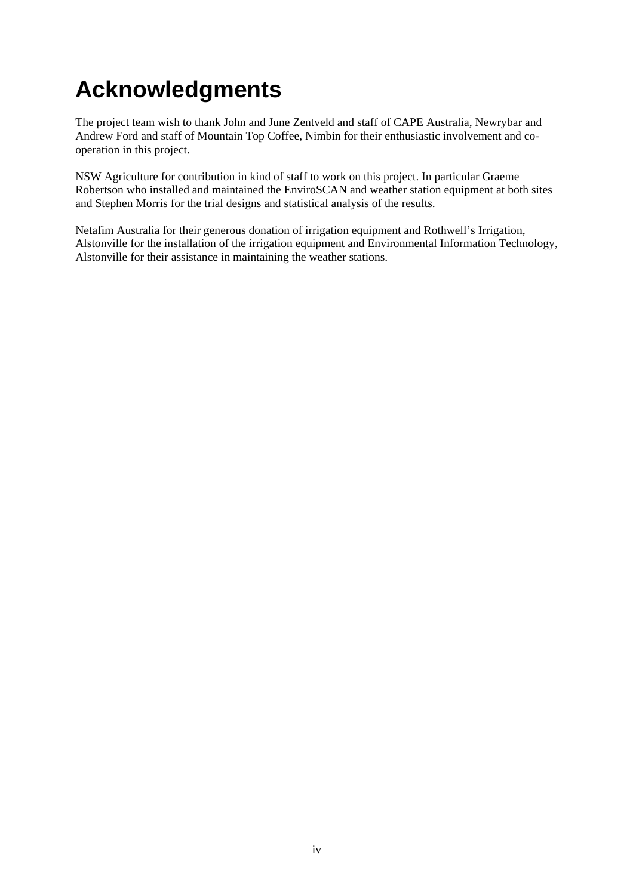# **Acknowledgments**

The project team wish to thank John and June Zentveld and staff of CAPE Australia, Newrybar and Andrew Ford and staff of Mountain Top Coffee, Nimbin for their enthusiastic involvement and cooperation in this project.

NSW Agriculture for contribution in kind of staff to work on this project. In particular Graeme Robertson who installed and maintained the EnviroSCAN and weather station equipment at both sites and Stephen Morris for the trial designs and statistical analysis of the results.

Netafim Australia for their generous donation of irrigation equipment and Rothwell's Irrigation, Alstonville for the installation of the irrigation equipment and Environmental Information Technology, Alstonville for their assistance in maintaining the weather stations.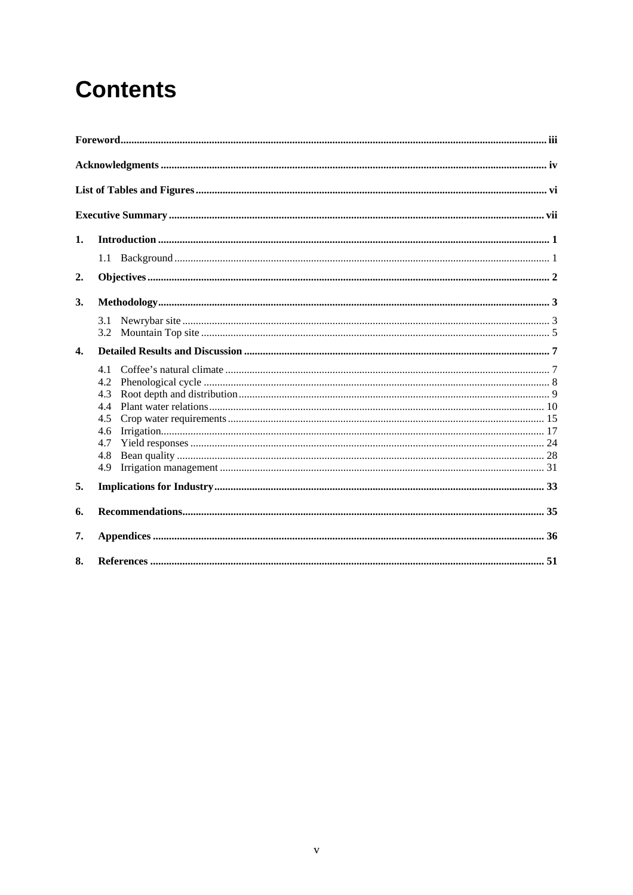# **Contents**

| 1.           |            |
|--------------|------------|
|              |            |
| 2.           |            |
| 3.           |            |
|              | 3.1        |
|              |            |
| $\mathbf{4}$ |            |
|              | 4.1        |
|              | 4.2        |
|              | 4.3        |
|              | 4.4        |
|              | 4.5        |
|              | 4.6<br>4.7 |
|              | 4.8        |
|              | 4.9        |
| 5.           |            |
| 6.           |            |
| 7.           |            |
| 8.           |            |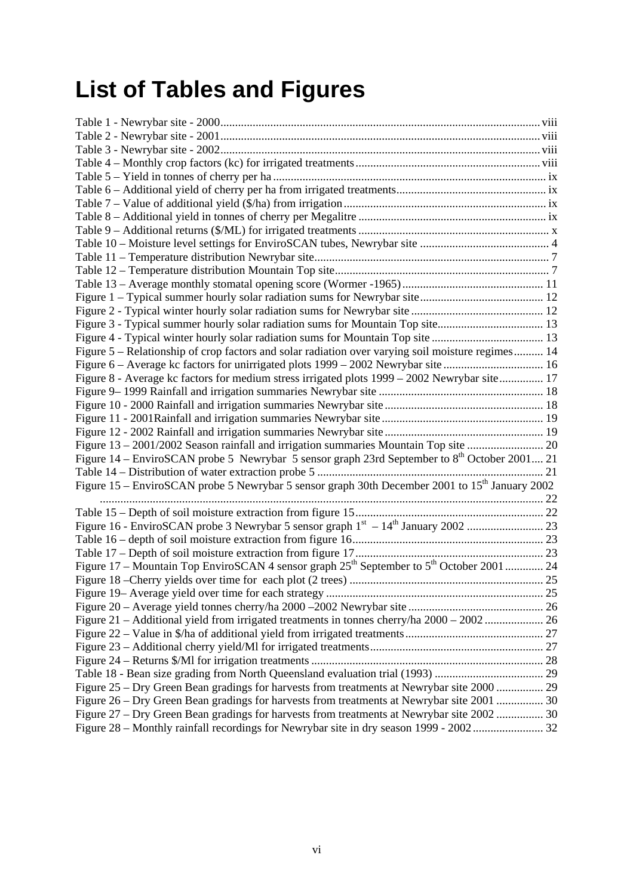# **List of Tables and Figures**

| Figure 3 - Typical summer hourly solar radiation sums for Mountain Top site 13                                    |  |
|-------------------------------------------------------------------------------------------------------------------|--|
|                                                                                                                   |  |
| Figure 5 – Relationship of crop factors and solar radiation over varying soil moisture regimes 14                 |  |
|                                                                                                                   |  |
| Figure 8 - Average kc factors for medium stress irrigated plots 1999 – 2002 Newrybar site 17                      |  |
|                                                                                                                   |  |
|                                                                                                                   |  |
|                                                                                                                   |  |
|                                                                                                                   |  |
| Figure 13 - 2001/2002 Season rainfall and irrigation summaries Mountain Top site  20                              |  |
| Figure 14 – EnviroSCAN probe 5 Newrybar 5 sensor graph 23rd September to 8 <sup>th</sup> October 2001 21          |  |
| Figure 15 – EnviroSCAN probe 5 Newrybar 5 sensor graph 30th December 2001 to 15 <sup>th</sup> January 2002        |  |
|                                                                                                                   |  |
|                                                                                                                   |  |
|                                                                                                                   |  |
|                                                                                                                   |  |
|                                                                                                                   |  |
| Figure 17 – Mountain Top EnviroSCAN 4 sensor graph 25 <sup>th</sup> September to 5 <sup>th</sup> October 2001  24 |  |
|                                                                                                                   |  |
|                                                                                                                   |  |
|                                                                                                                   |  |
| Figure 21 - Additional yield from irrigated treatments in tonnes cherry/ha 2000 - 2002  26                        |  |
|                                                                                                                   |  |
|                                                                                                                   |  |
|                                                                                                                   |  |
|                                                                                                                   |  |
| Figure 25 – Dry Green Bean gradings for harvests from treatments at Newrybar site 2000  29                        |  |
| Figure 26 – Dry Green Bean gradings for harvests from treatments at Newrybar site 2001  30                        |  |
| Figure 27 – Dry Green Bean gradings for harvests from treatments at Newrybar site 2002  30                        |  |
|                                                                                                                   |  |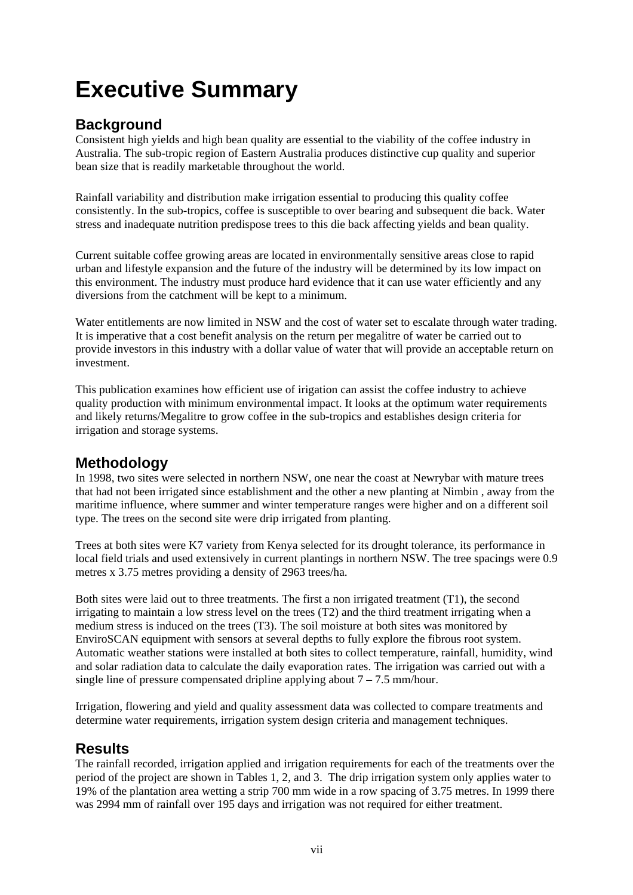# **Executive Summary**

## **Background**

Consistent high yields and high bean quality are essential to the viability of the coffee industry in Australia. The sub-tropic region of Eastern Australia produces distinctive cup quality and superior bean size that is readily marketable throughout the world.

Rainfall variability and distribution make irrigation essential to producing this quality coffee consistently. In the sub-tropics, coffee is susceptible to over bearing and subsequent die back. Water stress and inadequate nutrition predispose trees to this die back affecting yields and bean quality.

Current suitable coffee growing areas are located in environmentally sensitive areas close to rapid urban and lifestyle expansion and the future of the industry will be determined by its low impact on this environment. The industry must produce hard evidence that it can use water efficiently and any diversions from the catchment will be kept to a minimum.

Water entitlements are now limited in NSW and the cost of water set to escalate through water trading. It is imperative that a cost benefit analysis on the return per megalitre of water be carried out to provide investors in this industry with a dollar value of water that will provide an acceptable return on investment.

This publication examines how efficient use of irigation can assist the coffee industry to achieve quality production with minimum environmental impact. It looks at the optimum water requirements and likely returns/Megalitre to grow coffee in the sub-tropics and establishes design criteria for irrigation and storage systems.

## **Methodology**

In 1998, two sites were selected in northern NSW, one near the coast at Newrybar with mature trees that had not been irrigated since establishment and the other a new planting at Nimbin , away from the maritime influence, where summer and winter temperature ranges were higher and on a different soil type. The trees on the second site were drip irrigated from planting.

Trees at both sites were K7 variety from Kenya selected for its drought tolerance, its performance in local field trials and used extensively in current plantings in northern NSW. The tree spacings were 0.9 metres x 3.75 metres providing a density of 2963 trees/ha.

Both sites were laid out to three treatments. The first a non irrigated treatment (T1), the second irrigating to maintain a low stress level on the trees (T2) and the third treatment irrigating when a medium stress is induced on the trees (T3). The soil moisture at both sites was monitored by EnviroSCAN equipment with sensors at several depths to fully explore the fibrous root system. Automatic weather stations were installed at both sites to collect temperature, rainfall, humidity, wind and solar radiation data to calculate the daily evaporation rates. The irrigation was carried out with a single line of pressure compensated dripline applying about  $7 - 7.5$  mm/hour.

Irrigation, flowering and yield and quality assessment data was collected to compare treatments and determine water requirements, irrigation system design criteria and management techniques.

## **Results**

The rainfall recorded, irrigation applied and irrigation requirements for each of the treatments over the period of the project are shown in Tables 1, 2, and 3. The drip irrigation system only applies water to 19% of the plantation area wetting a strip 700 mm wide in a row spacing of 3.75 metres. In 1999 there was 2994 mm of rainfall over 195 days and irrigation was not required for either treatment.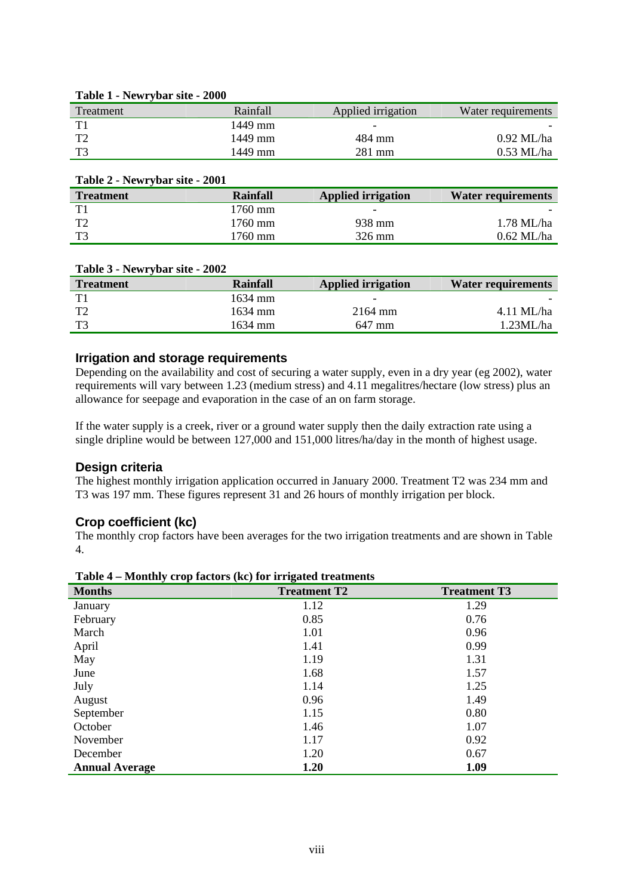| Treatment | Rainfall | Applied irrigation       | Water requirements |
|-----------|----------|--------------------------|--------------------|
|           | 1449 mm  | $\overline{\phantom{0}}$ |                    |
| T         | 1449 mm  | 484 mm                   | $0.92$ ML/ha       |
| T3        | 1449 mm  | 281 mm                   | $0.53$ ML/ha       |

#### **Table 1 - Newrybar site - 2000**

| Table 2 - Newrybar site - 2001 |                      |                           |                           |
|--------------------------------|----------------------|---------------------------|---------------------------|
| <b>Treatment</b>               | Rainfall             | <b>Applied irrigation</b> | <b>Water requirements</b> |
| T1                             | $1760$ mm            | $\overline{\phantom{0}}$  |                           |
| T2                             | $1760 \,\mathrm{mm}$ | 938 mm                    | 1.78 ML/ha                |
| T3                             | 1760 mm              | 326 mm                    | $0.62$ ML/ha              |

#### **Table 3 - Newrybar site - 2002**

| <b>Treatment</b> | Rainfall | <b>Applied irrigation</b> | <b>Water requirements</b> |
|------------------|----------|---------------------------|---------------------------|
| T1               | 1634 mm  | $\overline{\phantom{0}}$  |                           |
| $T^{\gamma}$     | 1634 mm  | 2164 mm                   | 4.11 ML/ha                |
| $T^2$            | 1634 mm  | 647 mm                    | 1.23ML/ha                 |

### **Irrigation and storage requirements**

Depending on the availability and cost of securing a water supply, even in a dry year (eg 2002), water requirements will vary between 1.23 (medium stress) and 4.11 megalitres/hectare (low stress) plus an allowance for seepage and evaporation in the case of an on farm storage.

If the water supply is a creek, river or a ground water supply then the daily extraction rate using a single dripline would be between 127,000 and 151,000 litres/ha/day in the month of highest usage.

#### **Design criteria**

The highest monthly irrigation application occurred in January 2000. Treatment T2 was 234 mm and T3 was 197 mm. These figures represent 31 and 26 hours of monthly irrigation per block.

#### **Crop coefficient (kc)**

The monthly crop factors have been averages for the two irrigation treatments and are shown in Table 4.

| <b>Months</b>         | <b>Treatment T2</b> | <b>Treatment T3</b> |
|-----------------------|---------------------|---------------------|
| January               | 1.12                | 1.29                |
| February              | 0.85                | 0.76                |
| March                 | 1.01                | 0.96                |
| April                 | 1.41                | 0.99                |
| May                   | 1.19                | 1.31                |
| June                  | 1.68                | 1.57                |
| July                  | 1.14                | 1.25                |
| August                | 0.96                | 1.49                |
| September             | 1.15                | 0.80                |
| October               | 1.46                | 1.07                |
| November              | 1.17                | 0.92                |
| December              | 1.20                | 0.67                |
| <b>Annual Average</b> | 1.20                | 1.09                |

**Table 4 – Monthly crop factors (kc) for irrigated treatments**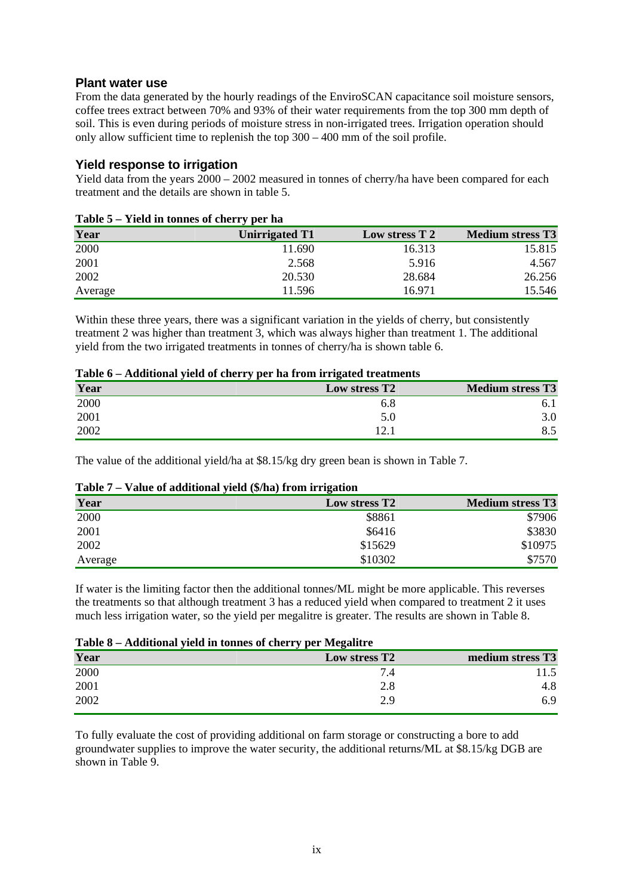### **Plant water use**

From the data generated by the hourly readings of the EnviroSCAN capacitance soil moisture sensors, coffee trees extract between 70% and 93% of their water requirements from the top 300 mm depth of soil. This is even during periods of moisture stress in non-irrigated trees. Irrigation operation should only allow sufficient time to replenish the top 300 – 400 mm of the soil profile.

### **Yield response to irrigation**

Yield data from the years 2000 – 2002 measured in tonnes of cherry/ha have been compared for each treatment and the details are shown in table 5.

|         | Tuble control in connect of energy per nu- |                |                         |
|---------|--------------------------------------------|----------------|-------------------------|
| Year    | Unirrigated T1                             | Low stress T 2 | <b>Medium stress T3</b> |
| 2000    | 11.690                                     | 16.313         | 15.815                  |
| 2001    | 2.568                                      | 5.916          | 4.567                   |
| 2002    | 20.530                                     | 28.684         | 26.256                  |
| Average | 11.596                                     | 16.971         | 15.546                  |

#### **Table 5 – Yield in tonnes of cherry per ha**

Within these three years, there was a significant variation in the yields of cherry, but consistently treatment 2 was higher than treatment 3, which was always higher than treatment 1. The additional yield from the two irrigated treatments in tonnes of cherry/ha is shown table 6.

### **Table 6 – Additional yield of cherry per ha from irrigated treatments**

| Year | Low stress T <sub>2</sub> | <b>Medium stress T3</b> |
|------|---------------------------|-------------------------|
| 2000 | ნ.8                       |                         |
| 2001 | 5.0                       | 3.0                     |
| 2002 |                           | ∪.J                     |

The value of the additional yield/ha at \$8.15/kg dry green bean is shown in Table 7.

#### **Table 7 – Value of additional yield (\$/ha) from irrigation**

| Year    | Low stress T <sub>2</sub> | <b>Medium stress T3</b> |
|---------|---------------------------|-------------------------|
| 2000    | \$8861                    | \$7906                  |
| 2001    | \$6416                    | \$3830                  |
| 2002    | \$15629                   | \$10975                 |
| Average | \$10302                   | \$7570                  |

If water is the limiting factor then the additional tonnes/ML might be more applicable. This reverses the treatments so that although treatment 3 has a reduced yield when compared to treatment 2 it uses much less irrigation water, so the yield per megalitre is greater. The results are shown in Table 8.

| Table 8 – Additional yield in tonnes of cherry per Megalitre |                  |  |
|--------------------------------------------------------------|------------------|--|
| Low stress T <sub>2</sub>                                    | medium stress T3 |  |
| 7.4                                                          | 11.5             |  |
| 2.8                                                          | 4.8              |  |
| 2.9                                                          | 6.9              |  |
|                                                              |                  |  |

To fully evaluate the cost of providing additional on farm storage or constructing a bore to add groundwater supplies to improve the water security, the additional returns/ML at \$8.15/kg DGB are shown in Table 9.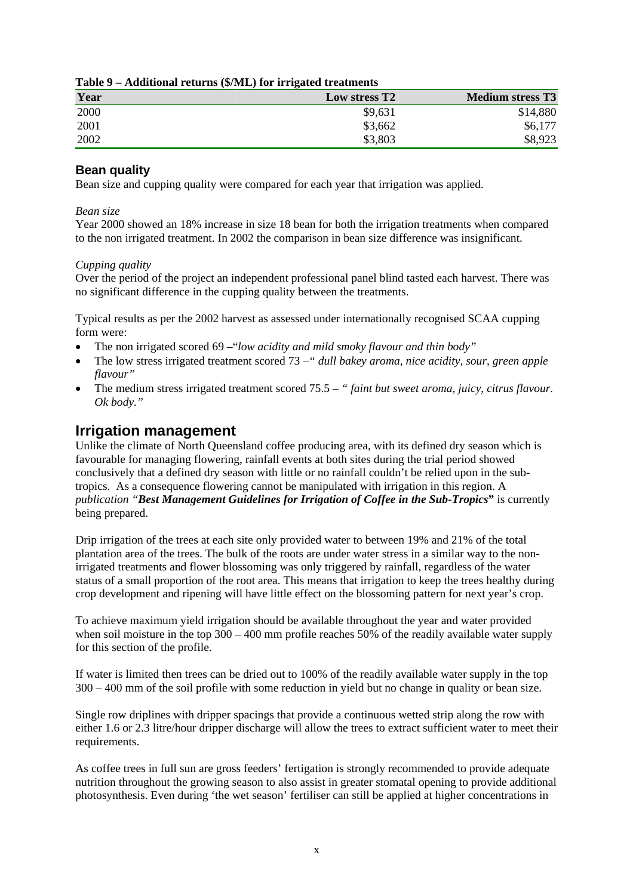| Year | Low stress T <sub>2</sub> | <b>Medium stress T3</b> |
|------|---------------------------|-------------------------|
| 2000 | \$9,631                   | \$14,880                |
| 2001 | \$3,662                   | \$6,177                 |
| 2002 | \$3,803                   | \$8,923                 |

#### **Table 9 – Additional returns (\$/ML) for irrigated treatments**

## **Bean quality**

Bean size and cupping quality were compared for each year that irrigation was applied.

#### *Bean size*

Year 2000 showed an 18% increase in size 18 bean for both the irrigation treatments when compared to the non irrigated treatment. In 2002 the comparison in bean size difference was insignificant.

#### *Cupping quality*

Over the period of the project an independent professional panel blind tasted each harvest. There was no significant difference in the cupping quality between the treatments.

Typical results as per the 2002 harvest as assessed under internationally recognised SCAA cupping form were:

- The non irrigated scored 69 –"*low acidity and mild smoky flavour and thin body"*
- The low stress irrigated treatment scored 73 –*" dull bakey aroma, nice acidity, sour, green apple flavour"*
- The medium stress irrigated treatment scored 75.5 *" faint but sweet aroma, juicy, citrus flavour. Ok body."*

## **Irrigation management**

Unlike the climate of North Queensland coffee producing area, with its defined dry season which is favourable for managing flowering, rainfall events at both sites during the trial period showed conclusively that a defined dry season with little or no rainfall couldn't be relied upon in the subtropics. As a consequence flowering cannot be manipulated with irrigation in this region. A *publication "Best Management Guidelines for Irrigation of Coffee in the Sub-Tropics***"** is currently being prepared.

Drip irrigation of the trees at each site only provided water to between 19% and 21% of the total plantation area of the trees. The bulk of the roots are under water stress in a similar way to the nonirrigated treatments and flower blossoming was only triggered by rainfall, regardless of the water status of a small proportion of the root area. This means that irrigation to keep the trees healthy during crop development and ripening will have little effect on the blossoming pattern for next year's crop.

To achieve maximum yield irrigation should be available throughout the year and water provided when soil moisture in the top 300 – 400 mm profile reaches 50% of the readily available water supply for this section of the profile.

If water is limited then trees can be dried out to 100% of the readily available water supply in the top 300 – 400 mm of the soil profile with some reduction in yield but no change in quality or bean size.

Single row driplines with dripper spacings that provide a continuous wetted strip along the row with either 1.6 or 2.3 litre/hour dripper discharge will allow the trees to extract sufficient water to meet their requirements.

As coffee trees in full sun are gross feeders' fertigation is strongly recommended to provide adequate nutrition throughout the growing season to also assist in greater stomatal opening to provide additional photosynthesis. Even during 'the wet season' fertiliser can still be applied at higher concentrations in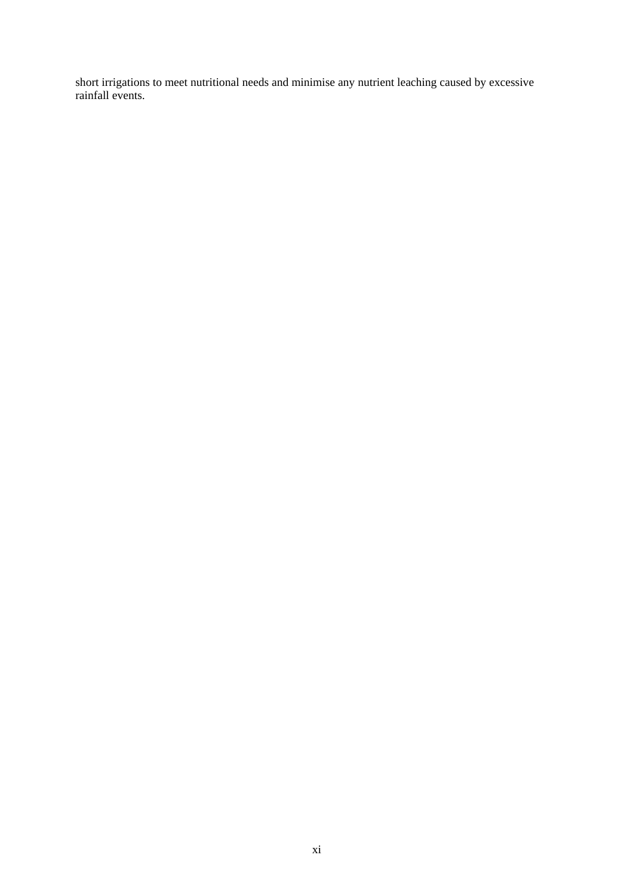short irrigations to meet nutritional needs and minimise any nutrient leaching caused by excessive rainfall events.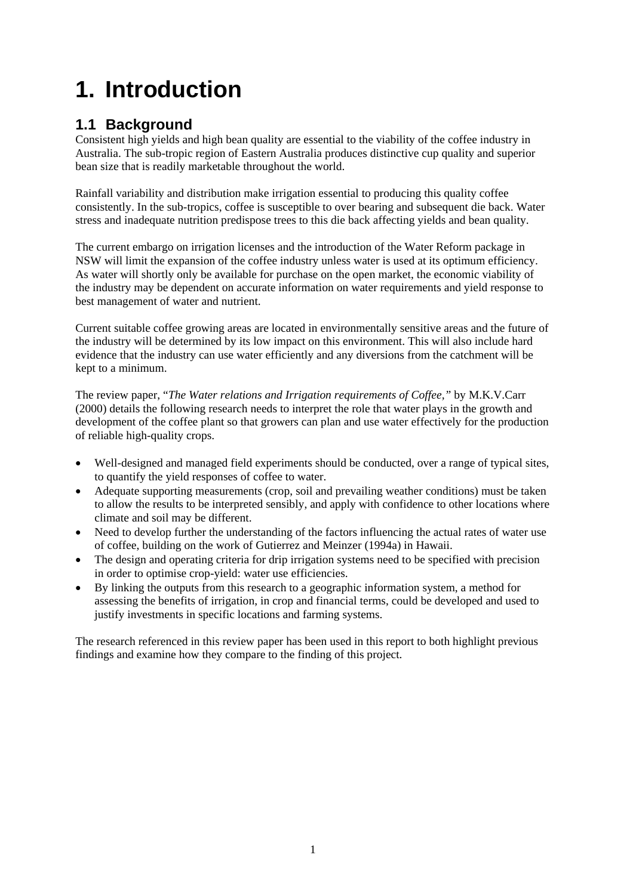# **1. Introduction**

# **1.1 Background**

Consistent high yields and high bean quality are essential to the viability of the coffee industry in Australia. The sub-tropic region of Eastern Australia produces distinctive cup quality and superior bean size that is readily marketable throughout the world.

Rainfall variability and distribution make irrigation essential to producing this quality coffee consistently. In the sub-tropics, coffee is susceptible to over bearing and subsequent die back. Water stress and inadequate nutrition predispose trees to this die back affecting yields and bean quality.

The current embargo on irrigation licenses and the introduction of the Water Reform package in NSW will limit the expansion of the coffee industry unless water is used at its optimum efficiency. As water will shortly only be available for purchase on the open market, the economic viability of the industry may be dependent on accurate information on water requirements and yield response to best management of water and nutrient.

Current suitable coffee growing areas are located in environmentally sensitive areas and the future of the industry will be determined by its low impact on this environment. This will also include hard evidence that the industry can use water efficiently and any diversions from the catchment will be kept to a minimum.

The review paper, "*The Water relations and Irrigation requirements of Coffee,"* by M.K.V.Carr (2000) details the following research needs to interpret the role that water plays in the growth and development of the coffee plant so that growers can plan and use water effectively for the production of reliable high-quality crops.

- Well-designed and managed field experiments should be conducted, over a range of typical sites, to quantify the yield responses of coffee to water.
- Adequate supporting measurements (crop, soil and prevailing weather conditions) must be taken to allow the results to be interpreted sensibly, and apply with confidence to other locations where climate and soil may be different.
- Need to develop further the understanding of the factors influencing the actual rates of water use of coffee, building on the work of Gutierrez and Meinzer (1994a) in Hawaii.
- The design and operating criteria for drip irrigation systems need to be specified with precision in order to optimise crop-yield: water use efficiencies.
- By linking the outputs from this research to a geographic information system, a method for assessing the benefits of irrigation, in crop and financial terms, could be developed and used to justify investments in specific locations and farming systems.

The research referenced in this review paper has been used in this report to both highlight previous findings and examine how they compare to the finding of this project.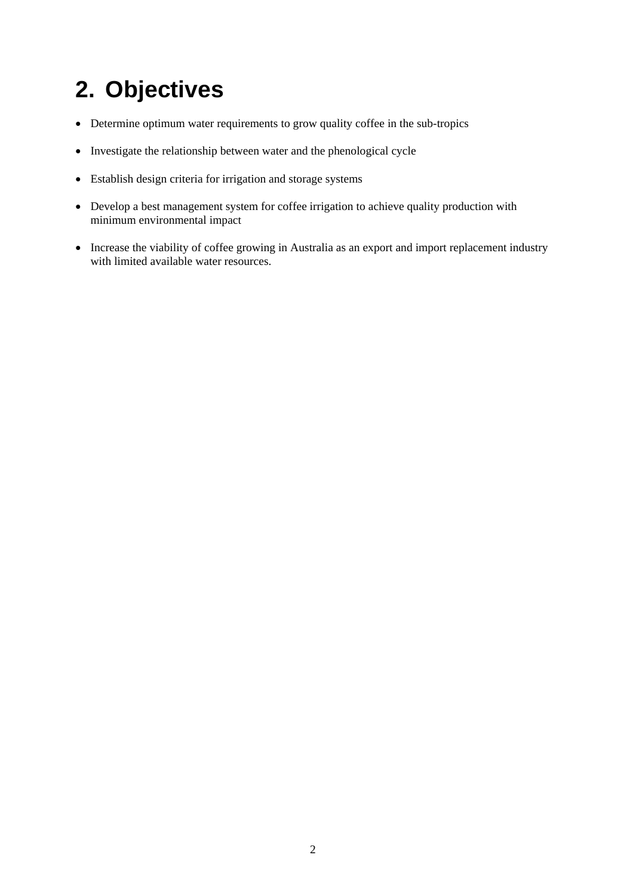# **2. Objectives**

- Determine optimum water requirements to grow quality coffee in the sub-tropics
- Investigate the relationship between water and the phenological cycle
- Establish design criteria for irrigation and storage systems
- Develop a best management system for coffee irrigation to achieve quality production with minimum environmental impact
- Increase the viability of coffee growing in Australia as an export and import replacement industry with limited available water resources.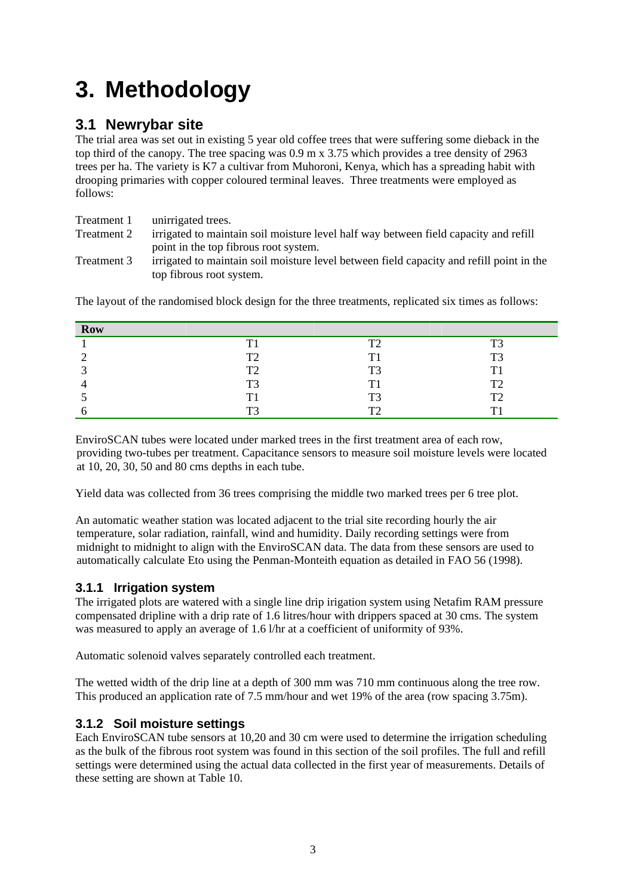# **3. Methodology**

## **3.1 Newrybar site**

The trial area was set out in existing 5 year old coffee trees that were suffering some dieback in the top third of the canopy. The tree spacing was 0.9 m x 3.75 which provides a tree density of 2963 trees per ha. The variety is K7 a cultivar from Muhoroni, Kenya, which has a spreading habit with drooping primaries with copper coloured terminal leaves. Three treatments were employed as follows:

| Treatment 1 | unirrigated trees.                                                                       |
|-------------|------------------------------------------------------------------------------------------|
| Treatment 2 | irrigated to maintain soil moisture level half way between field capacity and refill     |
|             | point in the top fibrous root system.                                                    |
| Treatment 3 | irrigated to maintain soil moisture level between field capacity and refill point in the |
|             | top fibrous root system.                                                                 |

| <b>Row</b> |                  |    |       |
|------------|------------------|----|-------|
|            | т                | ፐገ | ፐገ    |
|            | T <sub>2</sub>   | T1 | $T^2$ |
|            | T <sub>2</sub>   | ፐ3 | T1    |
|            | T <sub>3</sub>   | ፐነ | T     |
|            | $\mathbf{T}^{*}$ | ፐ3 | T     |
|            | $T^2$            | m٨ | m     |

The layout of the randomised block design for the three treatments, replicated six times as follows:

EnviroSCAN tubes were located under marked trees in the first treatment area of each row, providing two-tubes per treatment. Capacitance sensors to measure soil moisture levels were located at 10, 20, 30, 50 and 80 cms depths in each tube.

Yield data was collected from 36 trees comprising the middle two marked trees per 6 tree plot.

An automatic weather station was located adjacent to the trial site recording hourly the air temperature, solar radiation, rainfall, wind and humidity. Daily recording settings were from midnight to midnight to align with the EnviroSCAN data. The data from these sensors are used to automatically calculate Eto using the Penman-Monteith equation as detailed in FAO 56 (1998).

## **3.1.1 Irrigation system**

The irrigated plots are watered with a single line drip irigation system using Netafim RAM pressure compensated dripline with a drip rate of 1.6 litres/hour with drippers spaced at 30 cms. The system was measured to apply an average of 1.6 l/hr at a coefficient of uniformity of 93%.

Automatic solenoid valves separately controlled each treatment.

The wetted width of the drip line at a depth of 300 mm was 710 mm continuous along the tree row. This produced an application rate of 7.5 mm/hour and wet 19% of the area (row spacing 3.75m).

## **3.1.2 Soil moisture settings**

Each EnviroSCAN tube sensors at 10,20 and 30 cm were used to determine the irrigation scheduling as the bulk of the fibrous root system was found in this section of the soil profiles. The full and refill settings were determined using the actual data collected in the first year of measurements. Details of these setting are shown at Table 10.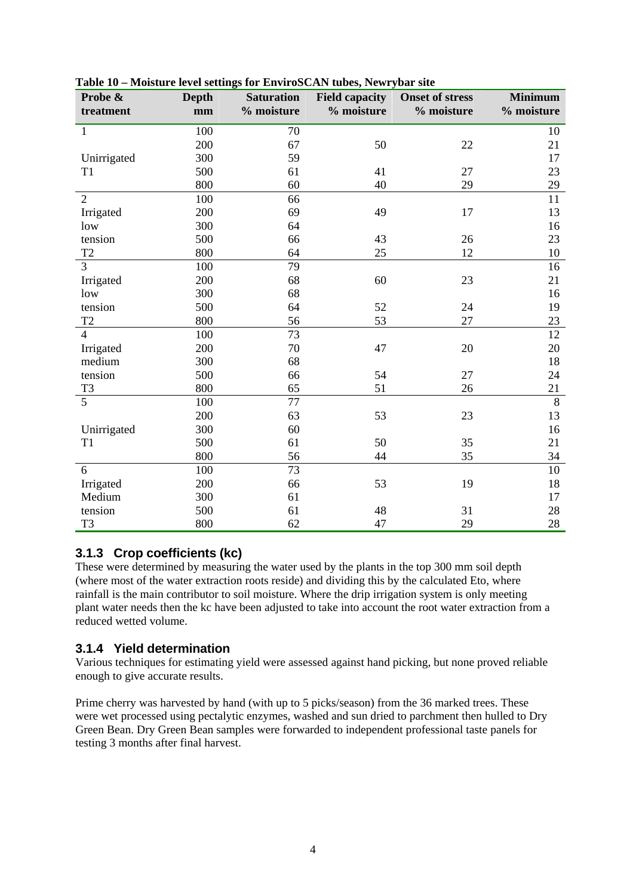| Probe &             | Depth | <b>Saturation</b> | <b>Field capacity</b> | <b>Onset of stress</b> | <b>Minimum</b> |
|---------------------|-------|-------------------|-----------------------|------------------------|----------------|
| treatment           | mm    | % moisture        | % moisture            | % moisture             | % moisture     |
| 1                   | 100   | 70                |                       |                        | 10             |
|                     | 200   | 67                | 50                    | 22                     | 21             |
| Unirrigated         | 300   | 59                |                       |                        | 17             |
| T <sub>1</sub>      | 500   | 61                | 41                    | 27                     | 23             |
|                     | 800   | 60                | 40                    | 29                     | 29             |
| $\overline{2}$      | 100   | 66                |                       |                        | 11             |
| Irrigated           | 200   | 69                | 49                    | 17                     | 13             |
| low                 | 300   | 64                |                       |                        | 16             |
| tension             | 500   | 66                | 43                    | 26                     | 23             |
| T <sub>2</sub>      | 800   | 64                | 25                    | 12                     | $10\,$         |
| $\overline{3}$      | 100   | 79                |                       |                        | 16             |
| Irrigated           | 200   | 68                | 60                    | 23                     | 21             |
| low                 | 300   | 68                |                       |                        | 16             |
| tension             | 500   | 64                | 52                    | 24                     | 19             |
| $\operatorname{T2}$ | 800   | 56                | 53                    | 27                     | 23             |
| $\overline{4}$      | 100   | 73                |                       |                        | 12             |
| Irrigated           | 200   | 70                | 47                    | 20                     | 20             |
| medium              | 300   | 68                |                       |                        | 18             |
| tension             | 500   | 66                | 54                    | 27                     | 24             |
| T <sub>3</sub>      | 800   | 65                | 51                    | 26                     | 21             |
| $\overline{5}$      | 100   | 77                |                       |                        | $\,8\,$        |
|                     | 200   | 63                | 53                    | 23                     | 13             |
| Unirrigated         | 300   | 60                |                       |                        | 16             |
| T1                  | 500   | 61                | 50                    | 35                     | 21             |
|                     | 800   | 56                | 44                    | 35                     | 34             |
| 6                   | 100   | 73                |                       |                        | 10             |
| Irrigated           | 200   | 66                | 53                    | 19                     | 18             |
| Medium              | 300   | 61                |                       |                        | 17             |
| tension             | 500   | 61                | 48                    | 31                     | 28             |
| T <sub>3</sub>      | 800   | 62                | 47                    | 29                     | 28             |

**Table 10 – Moisture level settings for EnviroSCAN tubes, Newrybar site** 

## **3.1.3 Crop coefficients (kc)**

These were determined by measuring the water used by the plants in the top 300 mm soil depth (where most of the water extraction roots reside) and dividing this by the calculated Eto, where rainfall is the main contributor to soil moisture. Where the drip irrigation system is only meeting plant water needs then the kc have been adjusted to take into account the root water extraction from a reduced wetted volume.

## **3.1.4 Yield determination**

Various techniques for estimating yield were assessed against hand picking, but none proved reliable enough to give accurate results.

Prime cherry was harvested by hand (with up to 5 picks/season) from the 36 marked trees. These were wet processed using pectalytic enzymes, washed and sun dried to parchment then hulled to Dry Green Bean. Dry Green Bean samples were forwarded to independent professional taste panels for testing 3 months after final harvest.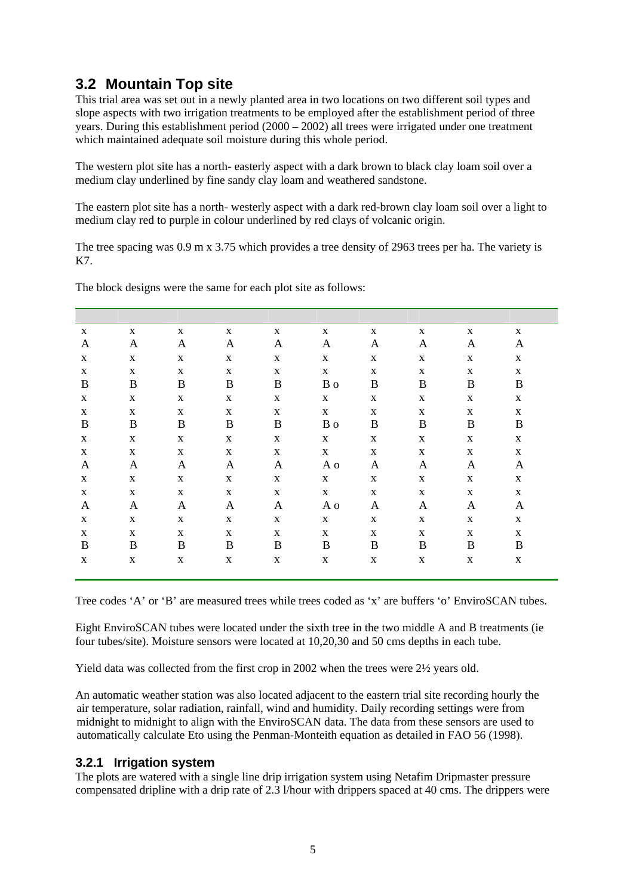## **3.2 Mountain Top site**

This trial area was set out in a newly planted area in two locations on two different soil types and slope aspects with two irrigation treatments to be employed after the establishment period of three years. During this establishment period (2000 – 2002) all trees were irrigated under one treatment which maintained adequate soil moisture during this whole period.

The western plot site has a north- easterly aspect with a dark brown to black clay loam soil over a medium clay underlined by fine sandy clay loam and weathered sandstone.

The eastern plot site has a north- westerly aspect with a dark red-brown clay loam soil over a light to medium clay red to purple in colour underlined by red clays of volcanic origin.

The tree spacing was 0.9 m x 3.75 which provides a tree density of 2963 trees per ha. The variety is K7.

| X           | $\mathbf X$ | $\mathbf X$ | $\mathbf X$  | $\mathbf X$  | $\mathbf X$ | $\mathbf X$ | $\mathbf{X}$ | $\mathbf{X}$ | $\mathbf X$ |
|-------------|-------------|-------------|--------------|--------------|-------------|-------------|--------------|--------------|-------------|
| A           | A           | A           | A            | A            | A           | A           | A            | A            | A           |
| $\mathbf X$ | $\mathbf X$ | $\mathbf X$ | $\mathbf X$  | $\mathbf X$  | $\mathbf X$ | $\mathbf X$ | $\mathbf X$  | $\mathbf{X}$ | $\mathbf X$ |
| $\mathbf X$ | $\mathbf X$ | $\mathbf X$ | $\mathbf X$  | $\mathbf X$  | $\mathbf X$ | $\mathbf X$ | $\mathbf X$  | $\mathbf X$  | $\mathbf X$ |
| B           | B           | B           | $\, {\bf B}$ | B            | B o         | B           | B            | B            | B           |
| $\mathbf X$ | $\mathbf X$ | $\mathbf X$ | $\mathbf X$  | $\mathbf X$  | $\mathbf X$ | $\mathbf X$ | $\mathbf X$  | $\mathbf X$  | $\mathbf X$ |
| $\mathbf X$ | $\mathbf X$ | $\mathbf X$ | $\mathbf X$  | $\mathbf X$  | $\mathbf X$ | $\mathbf X$ | $\mathbf X$  | $\mathbf X$  | X           |
| B           | B           | B           | B            | B            | B o         | B           | B            | B            | $\bf{B}$    |
| $\mathbf X$ | $\mathbf X$ | $\mathbf X$ | $\mathbf X$  | $\mathbf X$  | $\mathbf X$ | $\mathbf X$ | $\mathbf X$  | $\mathbf X$  | $\mathbf X$ |
| $\mathbf X$ | $\mathbf X$ | $\mathbf X$ | $\mathbf X$  | $\mathbf X$  | $\mathbf X$ | $\mathbf X$ | $\mathbf X$  | $\mathbf X$  | $\mathbf X$ |
| A           | A           | A           | A            | A            | A o         | A           | A            | A            | A           |
| $\mathbf X$ | $\mathbf X$ | $\mathbf X$ | $\mathbf X$  | $\mathbf X$  | $\mathbf X$ | $\mathbf X$ | $\mathbf X$  | $\mathbf{X}$ | $\mathbf X$ |
| $\mathbf X$ | $\mathbf X$ | $\mathbf X$ | $\mathbf X$  | $\mathbf X$  | $\mathbf X$ | $\mathbf X$ | $\mathbf X$  | $\mathbf X$  | $\mathbf X$ |
| A           | A           | A           | $\mathbf{A}$ | A            | A o         | A           | A            | A            | A           |
| $\mathbf X$ | $\mathbf X$ | $\mathbf X$ | $\mathbf X$  | $\mathbf X$  | $\mathbf X$ | $\mathbf X$ | $\mathbf X$  | $\mathbf X$  | $\mathbf X$ |
| $\mathbf X$ | $\mathbf X$ | $\mathbf X$ | $\mathbf X$  | $\mathbf{X}$ | $\mathbf X$ | $\mathbf X$ | $\mathbf X$  | $\mathbf X$  | X           |
| B           | B           | B           | B            | B            | B           | B           | B            | B            | $\bf{B}$    |
| $\mathbf X$ | $\mathbf X$ | $\mathbf X$ | $\mathbf X$  | $\mathbf X$  | $\mathbf X$ | $\mathbf X$ | $\mathbf X$  | $\mathbf X$  | $\mathbf X$ |

The block designs were the same for each plot site as follows:

Tree codes 'A' or 'B' are measured trees while trees coded as 'x' are buffers 'o' EnviroSCAN tubes.

Eight EnviroSCAN tubes were located under the sixth tree in the two middle A and B treatments (ie four tubes/site). Moisture sensors were located at 10,20,30 and 50 cms depths in each tube.

Yield data was collected from the first crop in 2002 when the trees were 2½ years old.

An automatic weather station was also located adjacent to the eastern trial site recording hourly the air temperature, solar radiation, rainfall, wind and humidity. Daily recording settings were from midnight to midnight to align with the EnviroSCAN data. The data from these sensors are used to automatically calculate Eto using the Penman-Monteith equation as detailed in FAO 56 (1998).

### **3.2.1 Irrigation system**

The plots are watered with a single line drip irrigation system using Netafim Dripmaster pressure compensated dripline with a drip rate of 2.3 l/hour with drippers spaced at 40 cms. The drippers were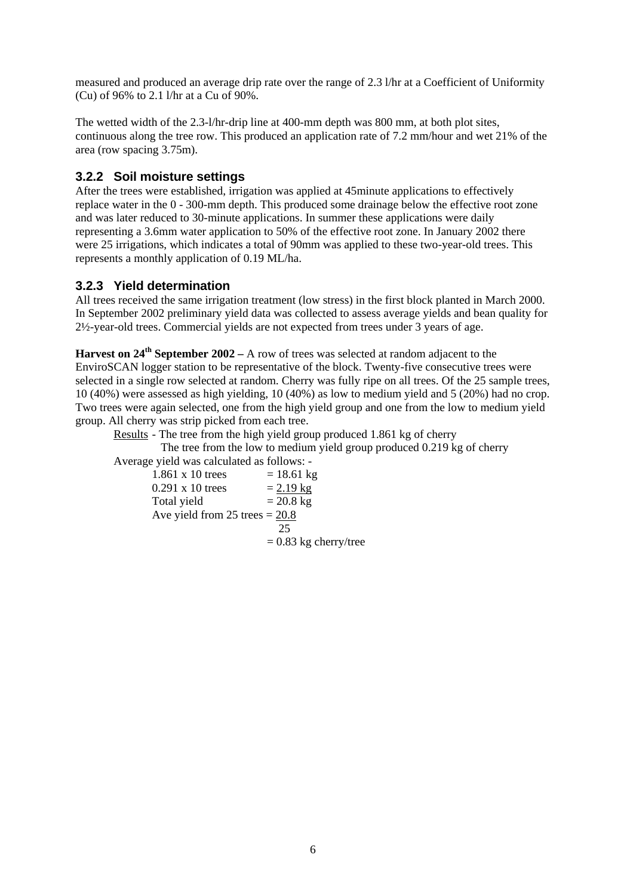measured and produced an average drip rate over the range of 2.3 l/hr at a Coefficient of Uniformity (Cu) of 96% to 2.1 l/hr at a Cu of 90%.

The wetted width of the 2.3-l/hr-drip line at 400-mm depth was 800 mm, at both plot sites, continuous along the tree row. This produced an application rate of 7.2 mm/hour and wet 21% of the area (row spacing 3.75m).

## **3.2.2 Soil moisture settings**

After the trees were established, irrigation was applied at 45minute applications to effectively replace water in the 0 - 300-mm depth. This produced some drainage below the effective root zone and was later reduced to 30-minute applications. In summer these applications were daily representing a 3.6mm water application to 50% of the effective root zone. In January 2002 there were 25 irrigations, which indicates a total of 90mm was applied to these two-year-old trees. This represents a monthly application of 0.19 ML/ha.

## **3.2.3 Yield determination**

All trees received the same irrigation treatment (low stress) in the first block planted in March 2000. In September 2002 preliminary yield data was collected to assess average yields and bean quality for 2½-year-old trees. Commercial yields are not expected from trees under 3 years of age.

**Harvest on 24th September 2002 –** A row of trees was selected at random adjacent to the EnviroSCAN logger station to be representative of the block. Twenty-five consecutive trees were selected in a single row selected at random. Cherry was fully ripe on all trees. Of the 25 sample trees, 10 (40%) were assessed as high yielding, 10 (40%) as low to medium yield and 5 (20%) had no crop. Two trees were again selected, one from the high yield group and one from the low to medium yield group. All cherry was strip picked from each tree.

Results - The tree from the high yield group produced 1.861 kg of cherry

 The tree from the low to medium yield group produced 0.219 kg of cherry Average yield was calculated as follows: -

1.861 x 10 trees  $= 18.61 \text{ kg}$ <br>0.291 x 10 trees  $= 2.19 \text{ kg}$  $0.291 \times 10$  trees Total yield  $= 20.8 \text{ kg}$ Ave yield from  $25$  trees  $= 20.8$  25  $= 0.83$  kg cherry/tree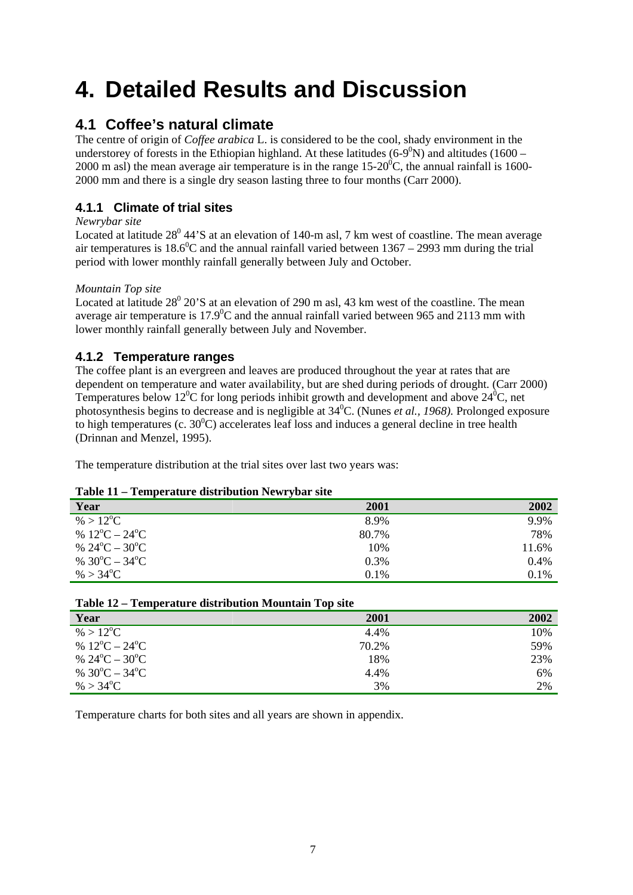# **4. Detailed Results and Discussion**

## **4.1 Coffee's natural climate**

The centre of origin of *Coffee arabica* L. is considered to be the cool, shady environment in the understorey of forests in the Ethiopian highland. At these latitudes  $(6-9^0N)$  and altitudes  $(1600 -$ 2000 m asl) the mean average air temperature is in the range  $15{\text -}20^0$ C, the annual rainfall is 1600-2000 mm and there is a single dry season lasting three to four months (Carr 2000).

## **4.1.1 Climate of trial sites**

*Newrybar site* 

Located at latitude  $28^{\circ}$  44'S at an elevation of 140-m asl, 7 km west of coastline. The mean average air temperatures is 18.6<sup>o</sup>C and the annual rainfall varied between  $1367 - 2993$  mm during the trial period with lower monthly rainfall generally between July and October.

### *Mountain Top site*

Located at latitude  $28^{\circ}$  20'S at an elevation of 290 m asl, 43 km west of the coastline. The mean average air temperature is 17.9 $\rm{^0C}$  and the annual rainfall varied between 965 and 2113 mm with lower monthly rainfall generally between July and November.

## **4.1.2 Temperature ranges**

The coffee plant is an evergreen and leaves are produced throughout the year at rates that are dependent on temperature and water availability, but are shed during periods of drought. (Carr 2000) Temperatures below 12<sup>°</sup>C for long periods inhibit growth and development and above  $24$ <sup>°</sup>C, net photosynthesis begins to decrease and is negligible at 340 C. (Nunes *et al., 1968).* Prolonged exposure to high temperatures (c.  $30^0$ C) accelerates leaf loss and induces a general decline in tree health (Drinnan and Menzel, 1995).

The temperature distribution at the trial sites over last two years was:

### **Table 11 – Temperature distribution Newrybar site**

| Year                          | 2001  | 2002  |
|-------------------------------|-------|-------|
| % > $12^{\circ}C$             | 8.9%  | 9.9%  |
| % $12^{\circ}C - 24^{\circ}C$ | 80.7% | 78%   |
| % $24^{\circ}C - 30^{\circ}C$ | 10%   | 11.6% |
| % $30^{\circ}C - 34^{\circ}C$ | 0.3%  | 0.4%  |
| % > $34^{\circ}$ C            | 0.1%  | 0.1%  |

|                               | $1400$ $14-1000$ and $000$ and $000$ and $000$ and $1000$ and $1000$ and $1000$ and $1000$ |      |  |  |
|-------------------------------|--------------------------------------------------------------------------------------------|------|--|--|
| Year                          | 2001                                                                                       | 2002 |  |  |
| % > $12^{\circ}C$             | 4.4%                                                                                       | 10%  |  |  |
| % $12^{\circ}C - 24^{\circ}C$ | 70.2%                                                                                      | 59%  |  |  |
| % $24^{\circ}C - 30^{\circ}C$ | 18%                                                                                        | 23%  |  |  |
| % $30^{\circ}C - 34^{\circ}C$ | 4.4%                                                                                       | 6%   |  |  |
| % > $34^{\circ}$ C            | 3%                                                                                         | 2%   |  |  |

### **Table 12 – Temperature distribution Mountain Top site**

Temperature charts for both sites and all years are shown in appendix.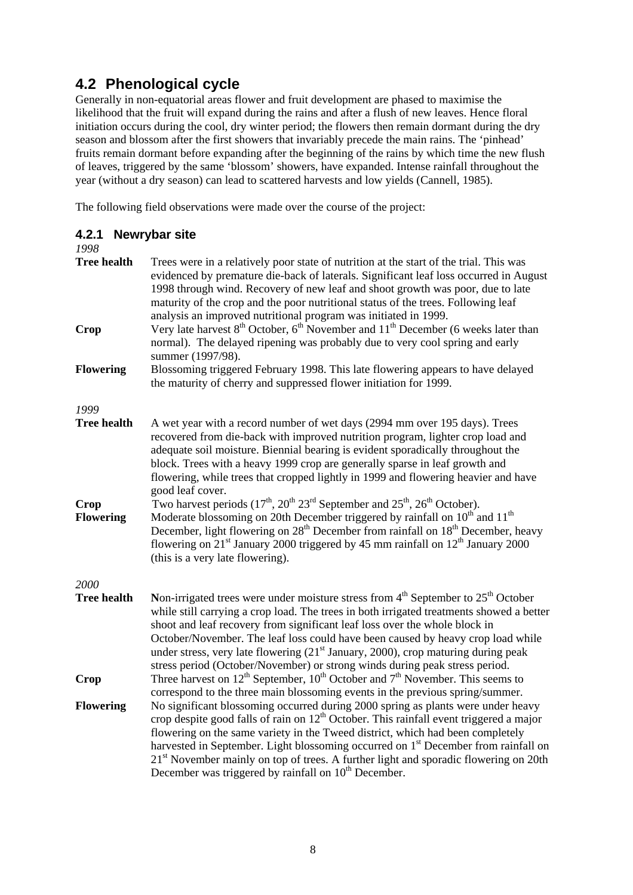# **4.2 Phenological cycle**

Generally in non-equatorial areas flower and fruit development are phased to maximise the likelihood that the fruit will expand during the rains and after a flush of new leaves. Hence floral initiation occurs during the cool, dry winter period; the flowers then remain dormant during the dry season and blossom after the first showers that invariably precede the main rains. The 'pinhead' fruits remain dormant before expanding after the beginning of the rains by which time the new flush of leaves, triggered by the same 'blossom' showers, have expanded. Intense rainfall throughout the year (without a dry season) can lead to scattered harvests and low yields (Cannell, 1985).

The following field observations were made over the course of the project:

| 4.2.1<br>1998            | <b>Newrybar site</b>                                                                                                                                                                                                                                                                                                                                                                                                                                                                                                                               |
|--------------------------|----------------------------------------------------------------------------------------------------------------------------------------------------------------------------------------------------------------------------------------------------------------------------------------------------------------------------------------------------------------------------------------------------------------------------------------------------------------------------------------------------------------------------------------------------|
| <b>Tree health</b>       | Trees were in a relatively poor state of nutrition at the start of the trial. This was<br>evidenced by premature die-back of laterals. Significant leaf loss occurred in August<br>1998 through wind. Recovery of new leaf and shoot growth was poor, due to late<br>maturity of the crop and the poor nutritional status of the trees. Following leaf<br>analysis an improved nutritional program was initiated in 1999.                                                                                                                          |
| Crop                     | Very late harvest $8^{th}$ October, $6^{th}$ November and $11^{th}$ December (6 weeks later than<br>normal). The delayed ripening was probably due to very cool spring and early<br>summer (1997/98).                                                                                                                                                                                                                                                                                                                                              |
| <b>Flowering</b>         | Blossoming triggered February 1998. This late flowering appears to have delayed<br>the maturity of cherry and suppressed flower initiation for 1999.                                                                                                                                                                                                                                                                                                                                                                                               |
| 1999                     |                                                                                                                                                                                                                                                                                                                                                                                                                                                                                                                                                    |
| <b>Tree health</b>       | A wet year with a record number of wet days (2994 mm over 195 days). Trees<br>recovered from die-back with improved nutrition program, lighter crop load and<br>adequate soil moisture. Biennial bearing is evident sporadically throughout the<br>block. Trees with a heavy 1999 crop are generally sparse in leaf growth and<br>flowering, while trees that cropped lightly in 1999 and flowering heavier and have<br>good leaf cover.                                                                                                           |
| Crop<br><b>Flowering</b> | Two harvest periods (17 <sup>th</sup> , 20 <sup>th</sup> 23 <sup>rd</sup> September and 25 <sup>th</sup> , 26 <sup>th</sup> October).<br>Moderate blossoming on 20th December triggered by rainfall on 10 <sup>th</sup> and 11 <sup>th</sup><br>December, light flowering on 28 <sup>th</sup> December from rainfall on 18 <sup>th</sup> December, heavy<br>flowering on $21st$ January 2000 triggered by 45 mm rainfall on $12th$ January 2000<br>(this is a very late flowering).                                                                |
| 2000                     |                                                                                                                                                                                                                                                                                                                                                                                                                                                                                                                                                    |
| <b>Tree health</b>       | Non-irrigated trees were under moisture stress from $4th$ September to $25th$ October<br>while still carrying a crop load. The trees in both irrigated treatments showed a better<br>shoot and leaf recovery from significant leaf loss over the whole block in<br>October/November. The leaf loss could have been caused by heavy crop load while<br>under stress, very late flowering (21 <sup>st</sup> January, 2000), crop maturing during peak<br>stress period (October/November) or strong winds during peak stress period.                 |
| Crop                     | Three harvest on $12^{th}$ September, $10^{th}$ October and $7^{th}$ November. This seems to<br>correspond to the three main blossoming events in the previous spring/summer.                                                                                                                                                                                                                                                                                                                                                                      |
| <b>Flowering</b>         | No significant blossoming occurred during 2000 spring as plants were under heavy<br>crop despite good falls of rain on 12 <sup>th</sup> October. This rainfall event triggered a major<br>flowering on the same variety in the Tweed district, which had been completely<br>harvested in September. Light blossoming occurred on 1 <sup>st</sup> December from rainfall on<br>21 <sup>st</sup> November mainly on top of trees. A further light and sporadic flowering on 20th<br>December was triggered by rainfall on 10 <sup>th</sup> December. |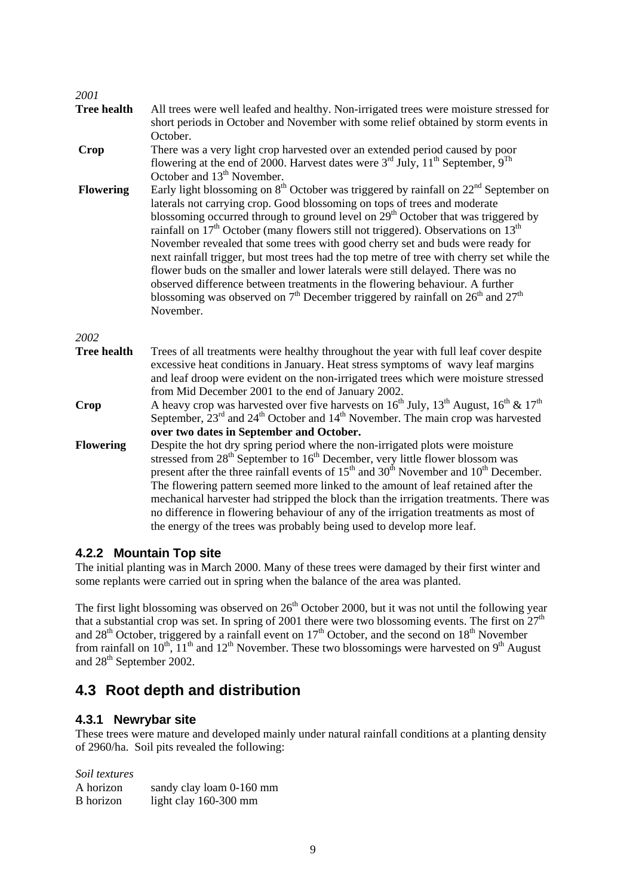#### *2001*

| <b>Tree health</b> | All trees were well leafed and healthy. Non-irrigated trees were moisture stressed for<br>short periods in October and November with some relief obtained by storm events in                                                                                                                                                                                                                                                                                                                                                                                                                                                                                                                                                                                                                                          |
|--------------------|-----------------------------------------------------------------------------------------------------------------------------------------------------------------------------------------------------------------------------------------------------------------------------------------------------------------------------------------------------------------------------------------------------------------------------------------------------------------------------------------------------------------------------------------------------------------------------------------------------------------------------------------------------------------------------------------------------------------------------------------------------------------------------------------------------------------------|
|                    | October.                                                                                                                                                                                                                                                                                                                                                                                                                                                                                                                                                                                                                                                                                                                                                                                                              |
| Crop               | There was a very light crop harvested over an extended period caused by poor<br>flowering at the end of 2000. Harvest dates were $3^{rd}$ July, $11^{th}$ September, $9^{Th}$<br>October and 13 <sup>th</sup> November.                                                                                                                                                                                                                                                                                                                                                                                                                                                                                                                                                                                               |
| <b>Flowering</b>   | Early light blossoming on $8th$ October was triggered by rainfall on $22nd$ September on<br>laterals not carrying crop. Good blossoming on tops of trees and moderate<br>blossoming occurred through to ground level on 29 <sup>th</sup> October that was triggered by<br>rainfall on $17th$ October (many flowers still not triggered). Observations on $13th$<br>November revealed that some trees with good cherry set and buds were ready for<br>next rainfall trigger, but most trees had the top metre of tree with cherry set while the<br>flower buds on the smaller and lower laterals were still delayed. There was no<br>observed difference between treatments in the flowering behaviour. A further<br>blossoming was observed on $7th$ December triggered by rainfall on $26th$ and $27th$<br>November. |
| 2002               |                                                                                                                                                                                                                                                                                                                                                                                                                                                                                                                                                                                                                                                                                                                                                                                                                       |
| <b>Tree health</b> | Trees of all treatments were healthy throughout the year with full leaf cover despite<br>excessive heat conditions in January. Heat stress symptoms of wavy leaf margins<br>and leaf droop were evident on the non-irrigated trees which were moisture stressed<br>from Mid December 2001 to the end of January 2002.                                                                                                                                                                                                                                                                                                                                                                                                                                                                                                 |
| Crop               | A heavy crop was harvested over five harvests on $16^{th}$ July, $13^{th}$ August, $16^{th}$ & $17^{th}$<br>September, $23rd$ and $24th$ October and $14th$ November. The main crop was harvested<br>over two dates in September and October.                                                                                                                                                                                                                                                                                                                                                                                                                                                                                                                                                                         |
| <b>Flowering</b>   | Despite the hot dry spring period where the non-irrigated plots were moisture<br>stressed from 28 <sup>th</sup> September to 16 <sup>th</sup> December, very little flower blossom was<br>present after the three rainfall events of 15 <sup>th</sup> and 30 <sup>th</sup> November and 10 <sup>th</sup> December.<br>The flowering pattern seemed more linked to the amount of leaf retained after the<br>mechanical harvester had stripped the block than the irrigation treatments. There was<br>no difference in flowering behaviour of any of the irrigation treatments as most of                                                                                                                                                                                                                               |

## the energy of the trees was probably being used to develop more leaf.

## **4.2.2 Mountain Top site**

The initial planting was in March 2000. Many of these trees were damaged by their first winter and some replants were carried out in spring when the balance of the area was planted.

The first light blossoming was observed on  $26<sup>th</sup>$  October 2000, but it was not until the following year that a substantial crop was set. In spring of 2001 there were two blossoming events. The first on  $27<sup>th</sup>$ and  $28<sup>th</sup>$  October, triggered by a rainfall event on  $17<sup>th</sup>$  October, and the second on  $18<sup>th</sup>$  November from rainfall on  $10^{th}$ ,  $11^{th}$  and  $12^{th}$  November. These two blossomings were harvested on  $9^{th}$  August and 28<sup>th</sup> September 2002.

# **4.3 Root depth and distribution**

### **4.3.1 Newrybar site**

These trees were mature and developed mainly under natural rainfall conditions at a planting density of 2960/ha. Soil pits revealed the following:

*Soil textures* 

| A horizon | sandy clay loam 0-160 mm |
|-----------|--------------------------|
| B horizon | light clay 160-300 mm    |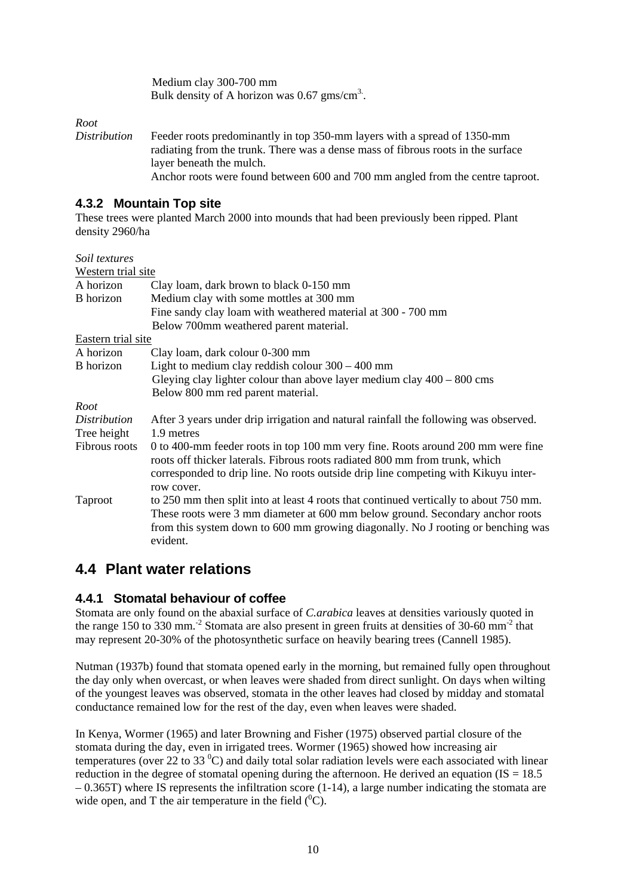Medium clay 300-700 mm Bulk density of A horizon was  $0.67$  gms/cm<sup>3</sup>.

*Root* 

*Distribution* Feeder roots predominantly in top 350-mm layers with a spread of 1350-mm radiating from the trunk. There was a dense mass of fibrous roots in the surface layer beneath the mulch. Anchor roots were found between 600 and 700 mm angled from the centre taproot.

## **4.3.2 Mountain Top site**

These trees were planted March 2000 into mounds that had been previously been ripped. Plant density 2960/ha

| Soil textures      |                                                                                                                                                                                                                                                                        |
|--------------------|------------------------------------------------------------------------------------------------------------------------------------------------------------------------------------------------------------------------------------------------------------------------|
| Western trial site |                                                                                                                                                                                                                                                                        |
| A horizon          | Clay loam, dark brown to black 0-150 mm                                                                                                                                                                                                                                |
| B horizon          | Medium clay with some mottles at 300 mm                                                                                                                                                                                                                                |
|                    | Fine sandy clay loam with weathered material at 300 - 700 mm                                                                                                                                                                                                           |
|                    | Below 700mm weathered parent material.                                                                                                                                                                                                                                 |
| Eastern trial site |                                                                                                                                                                                                                                                                        |
| A horizon          | Clay loam, dark colour 0-300 mm                                                                                                                                                                                                                                        |
| B horizon          | Light to medium clay reddish colour $300 - 400$ mm                                                                                                                                                                                                                     |
|                    | Gleying clay lighter colour than above layer medium clay $400 - 800$ cms                                                                                                                                                                                               |
|                    | Below 800 mm red parent material.                                                                                                                                                                                                                                      |
| Root               |                                                                                                                                                                                                                                                                        |
| Distribution       | After 3 years under drip irrigation and natural rainfall the following was observed.                                                                                                                                                                                   |
| Tree height        | 1.9 metres                                                                                                                                                                                                                                                             |
| Fibrous roots      | 0 to 400-mm feeder roots in top 100 mm very fine. Roots around 200 mm were fine<br>roots off thicker laterals. Fibrous roots radiated 800 mm from trunk, which<br>corresponded to drip line. No roots outside drip line competing with Kikuyu inter-<br>row cover.     |
| <b>Taproot</b>     | to 250 mm then split into at least 4 roots that continued vertically to about 750 mm.<br>These roots were 3 mm diameter at 600 mm below ground. Secondary anchor roots<br>from this system down to 600 mm growing diagonally. No J rooting or benching was<br>evident. |

## **4.4 Plant water relations**

## **4.4.1 Stomatal behaviour of coffee**

Stomata are only found on the abaxial surface of *C.arabica* leaves at densities variously quoted in the range 150 to 330 mm.<sup>-2</sup> Stomata are also present in green fruits at densities of 30-60 mm<sup>-2</sup> that may represent 20-30% of the photosynthetic surface on heavily bearing trees (Cannell 1985).

Nutman (1937b) found that stomata opened early in the morning, but remained fully open throughout the day only when overcast, or when leaves were shaded from direct sunlight. On days when wilting of the youngest leaves was observed, stomata in the other leaves had closed by midday and stomatal conductance remained low for the rest of the day, even when leaves were shaded.

In Kenya, Wormer (1965) and later Browning and Fisher (1975) observed partial closure of the stomata during the day, even in irrigated trees. Wormer (1965) showed how increasing air temperatures (over 22 to 33 $\degree$ C) and daily total solar radiation levels were each associated with linear reduction in the degree of stomatal opening during the afternoon. He derived an equation ( $IS = 18.5$ )  $-0.365T$ ) where IS represents the infiltration score (1-14), a large number indicating the stomata are wide open, and T the air temperature in the field  $(^{0}C)$ .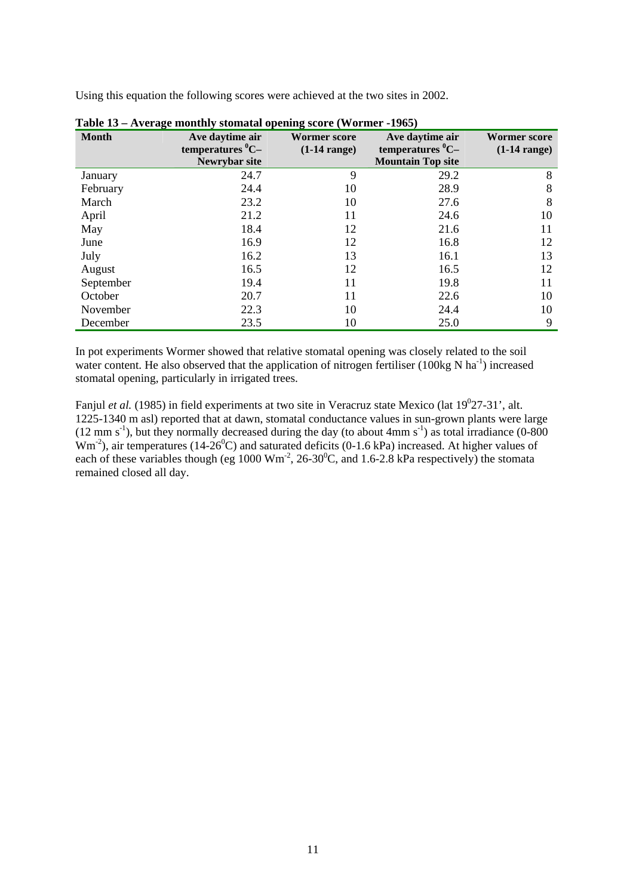Using this equation the following scores were achieved at the two sites in 2002.

| <b>Month</b> | Ave daytime air<br>temperatures $^0C-$<br>Newrybar site | <b>Wormer score</b><br>$(1-14 \text{ range})$ | Ave daytime air<br>temperatures $^0C-$<br><b>Mountain Top site</b> | <b>Wormer score</b><br>$(1-14 \text{ range})$ |
|--------------|---------------------------------------------------------|-----------------------------------------------|--------------------------------------------------------------------|-----------------------------------------------|
| January      | 24.7                                                    | 9                                             | 29.2                                                               | 8                                             |
| February     | 24.4                                                    | 10                                            | 28.9                                                               | 8                                             |
| March        | 23.2                                                    | 10                                            | 27.6                                                               | 8                                             |
| April        | 21.2                                                    | 11                                            | 24.6                                                               | 10                                            |
| May          | 18.4                                                    | 12                                            | 21.6                                                               | 11                                            |
| June         | 16.9                                                    | 12                                            | 16.8                                                               | 12                                            |
| July         | 16.2                                                    | 13                                            | 16.1                                                               | 13                                            |
| August       | 16.5                                                    | 12                                            | 16.5                                                               | 12                                            |
| September    | 19.4                                                    | 11                                            | 19.8                                                               | 11                                            |
| October      | 20.7                                                    | 11                                            | 22.6                                                               | 10                                            |
| November     | 22.3                                                    | 10                                            | 24.4                                                               | 10                                            |
| December     | 23.5                                                    | 10                                            | 25.0                                                               | 9                                             |

**Table 13 – Average monthly stomatal opening score (Wormer -1965)** 

In pot experiments Wormer showed that relative stomatal opening was closely related to the soil water content. He also observed that the application of nitrogen fertiliser (100kg N ha<sup>-1</sup>) increased stomatal opening, particularly in irrigated trees.

Fanjul *et al.* (1985) in field experiments at two site in Veracruz state Mexico (lat 19<sup>0</sup>27-31', alt. 1225-1340 m asl) reported that at dawn, stomatal conductance values in sun-grown plants were large  $(12 \text{ mm s}^{-1})$ , but they normally decreased during the day (to about 4mm s<sup>-1</sup>) as total irradiance  $(0-800)$  $Wm<sup>-2</sup>$ ), air temperatures (14-26<sup>0</sup>C) and saturated deficits (0-1.6 kPa) increased. At higher values of each of these variables though (eg 1000  $\text{Wm}^2$ , 26-30<sup>0</sup>C, and 1.6-2.8 kPa respectively) the stomata remained closed all day.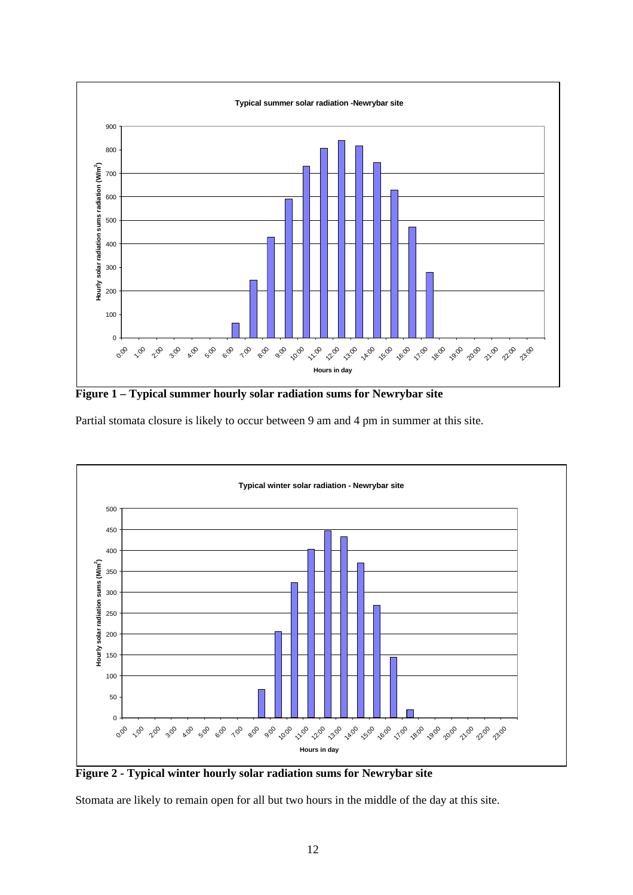

**Figure 1 – Typical summer hourly solar radiation sums for Newrybar site** 

Partial stomata closure is likely to occur between 9 am and 4 pm in summer at this site.



**Figure 2 - Typical winter hourly solar radiation sums for Newrybar site** 

Stomata are likely to remain open for all but two hours in the middle of the day at this site.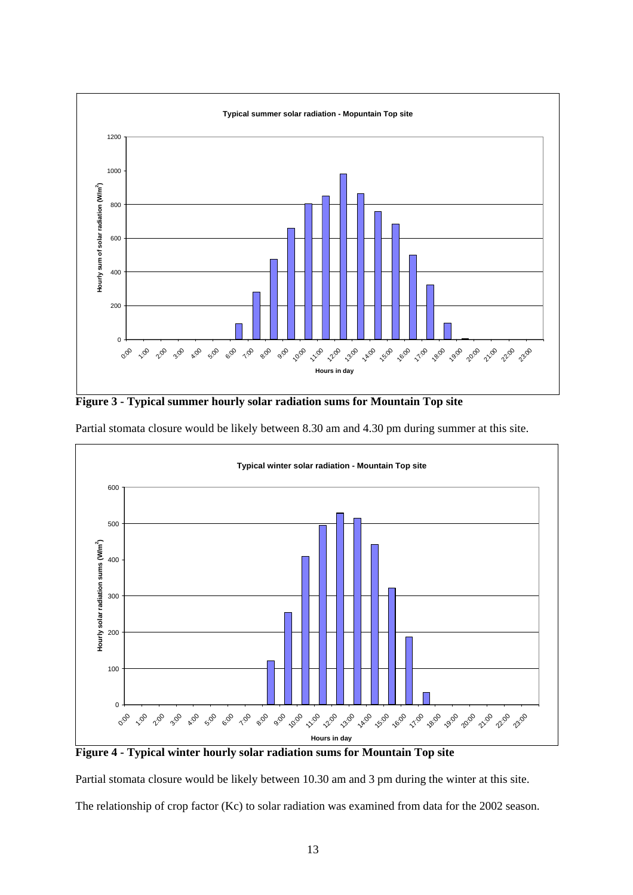

**Figure 3 - Typical summer hourly solar radiation sums for Mountain Top site** 



Partial stomata closure would be likely between 8.30 am and 4.30 pm during summer at this site.

**Figure 4 - Typical winter hourly solar radiation sums for Mountain Top site** 

Partial stomata closure would be likely between 10.30 am and 3 pm during the winter at this site.

The relationship of crop factor (Kc) to solar radiation was examined from data for the 2002 season.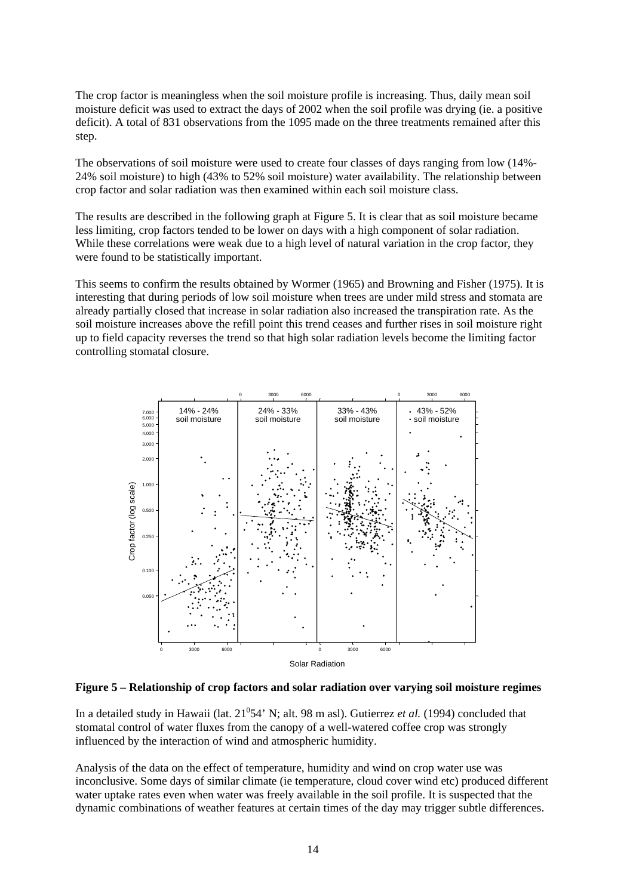The crop factor is meaningless when the soil moisture profile is increasing. Thus, daily mean soil moisture deficit was used to extract the days of 2002 when the soil profile was drying (ie. a positive deficit). A total of 831 observations from the 1095 made on the three treatments remained after this step.

The observations of soil moisture were used to create four classes of days ranging from low (14%- 24% soil moisture) to high (43% to 52% soil moisture) water availability. The relationship between crop factor and solar radiation was then examined within each soil moisture class.

The results are described in the following graph at Figure 5. It is clear that as soil moisture became less limiting, crop factors tended to be lower on days with a high component of solar radiation. While these correlations were weak due to a high level of natural variation in the crop factor, they were found to be statistically important.

This seems to confirm the results obtained by Wormer (1965) and Browning and Fisher (1975). It is interesting that during periods of low soil moisture when trees are under mild stress and stomata are already partially closed that increase in solar radiation also increased the transpiration rate. As the soil moisture increases above the refill point this trend ceases and further rises in soil moisture right up to field capacity reverses the trend so that high solar radiation levels become the limiting factor controlling stomatal closure.



**Figure 5 – Relationship of crop factors and solar radiation over varying soil moisture regimes** 

In a detailed study in Hawaii (lat. 21<sup>0</sup>54' N; alt. 98 m asl). Gutierrez *et al.* (1994) concluded that stomatal control of water fluxes from the canopy of a well-watered coffee crop was strongly influenced by the interaction of wind and atmospheric humidity.

Analysis of the data on the effect of temperature, humidity and wind on crop water use was inconclusive. Some days of similar climate (ie temperature, cloud cover wind etc) produced different water uptake rates even when water was freely available in the soil profile. It is suspected that the dynamic combinations of weather features at certain times of the day may trigger subtle differences.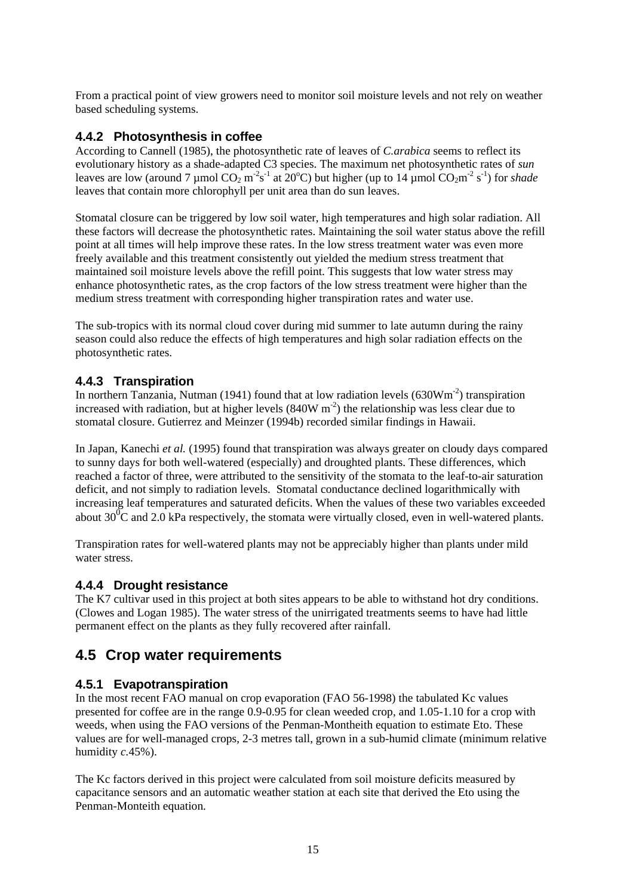From a practical point of view growers need to monitor soil moisture levels and not rely on weather based scheduling systems.

### **4.4.2 Photosynthesis in coffee**

According to Cannell (1985), the photosynthetic rate of leaves of *C.arabica* seems to reflect its evolutionary history as a shade-adapted C3 species. The maximum net photosynthetic rates of *sun*  leaves are low (around 7 µmol  $CO_2$  m<sup>-2</sup>s<sup>-1</sup> at 20<sup>o</sup>C) but higher (up to 14 µmol  $CO_2$ m<sup>-2</sup> s<sup>-1</sup>) for *shade* leaves that contain more chlorophyll per unit area than do sun leaves.

Stomatal closure can be triggered by low soil water, high temperatures and high solar radiation. All these factors will decrease the photosynthetic rates. Maintaining the soil water status above the refill point at all times will help improve these rates. In the low stress treatment water was even more freely available and this treatment consistently out yielded the medium stress treatment that maintained soil moisture levels above the refill point. This suggests that low water stress may enhance photosynthetic rates, as the crop factors of the low stress treatment were higher than the medium stress treatment with corresponding higher transpiration rates and water use.

The sub-tropics with its normal cloud cover during mid summer to late autumn during the rainy season could also reduce the effects of high temperatures and high solar radiation effects on the photosynthetic rates.

## **4.4.3 Transpiration**

In northern Tanzania, Nutman (1941) found that at low radiation levels  $(630Wm<sup>-2</sup>)$  transpiration increased with radiation, but at higher levels  $(840W \, \text{m}^2)$  the relationship was less clear due to stomatal closure. Gutierrez and Meinzer (1994b) recorded similar findings in Hawaii.

In Japan, Kanechi *et al.* (1995) found that transpiration was always greater on cloudy days compared to sunny days for both well-watered (especially) and droughted plants. These differences, which reached a factor of three, were attributed to the sensitivity of the stomata to the leaf-to-air saturation deficit, and not simply to radiation levels. Stomatal conductance declined logarithmically with increasing leaf temperatures and saturated deficits. When the values of these two variables exceeded about 30<sup>0</sup>C and 2.0 kPa respectively, the stomata were virtually closed, even in well-watered plants.

Transpiration rates for well-watered plants may not be appreciably higher than plants under mild water stress.

## **4.4.4 Drought resistance**

The K7 cultivar used in this project at both sites appears to be able to withstand hot dry conditions. (Clowes and Logan 1985). The water stress of the unirrigated treatments seems to have had little permanent effect on the plants as they fully recovered after rainfall.

## **4.5 Crop water requirements**

## **4.5.1 Evapotranspiration**

In the most recent FAO manual on crop evaporation (FAO 56-1998) the tabulated Kc values presented for coffee are in the range 0.9-0.95 for clean weeded crop, and 1.05-1.10 for a crop with weeds, when using the FAO versions of the Penman-Montheith equation to estimate Eto. These values are for well-managed crops, 2-3 metres tall, grown in a sub-humid climate (minimum relative humidity *c.*45%).

The Kc factors derived in this project were calculated from soil moisture deficits measured by capacitance sensors and an automatic weather station at each site that derived the Eto using the Penman-Monteith equation.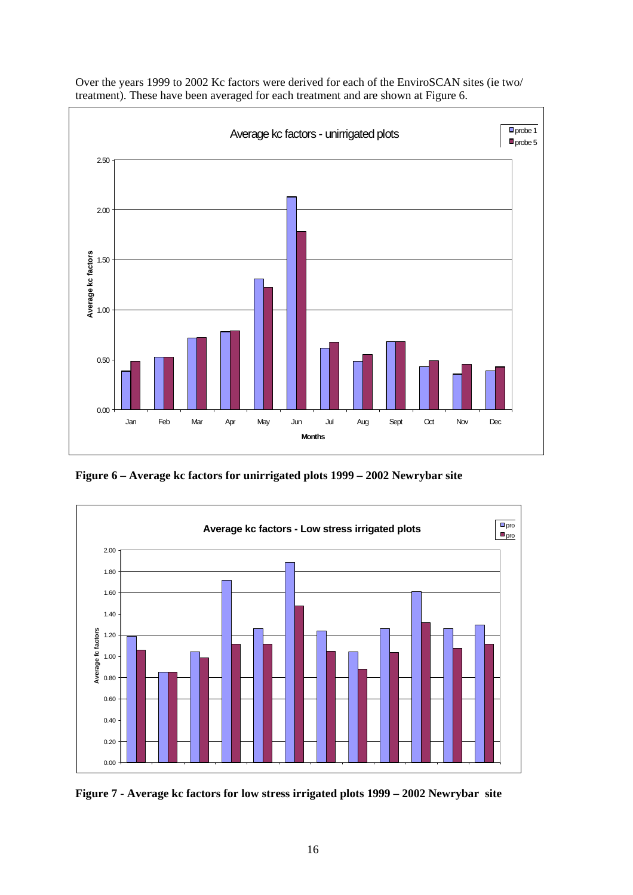

Over the years 1999 to 2002 Kc factors were derived for each of the EnviroSCAN sites (ie two/ treatment). These have been averaged for each treatment and are shown at Figure 6.

**Figure 6 – Average kc factors for unirrigated plots 1999 – 2002 Newrybar site** 



**Figure 7** - **Average kc factors for low stress irrigated plots 1999 – 2002 Newrybar site**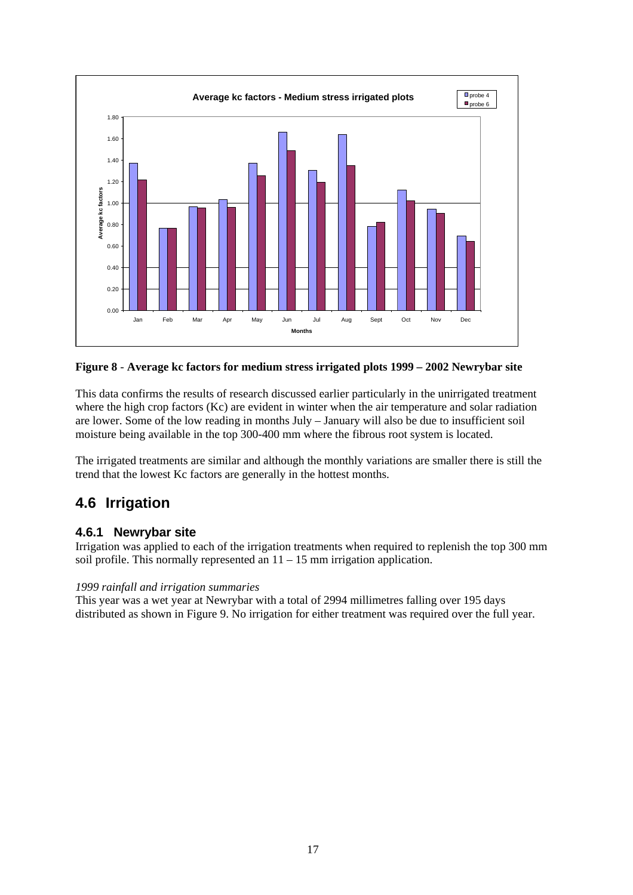

**Figure 8** - **Average kc factors for medium stress irrigated plots 1999 – 2002 Newrybar site** 

This data confirms the results of research discussed earlier particularly in the unirrigated treatment where the high crop factors (Kc) are evident in winter when the air temperature and solar radiation are lower. Some of the low reading in months July – January will also be due to insufficient soil moisture being available in the top 300-400 mm where the fibrous root system is located.

The irrigated treatments are similar and although the monthly variations are smaller there is still the trend that the lowest Kc factors are generally in the hottest months.

## **4.6 Irrigation**

## **4.6.1 Newrybar site**

Irrigation was applied to each of the irrigation treatments when required to replenish the top 300 mm soil profile. This normally represented an 11 – 15 mm irrigation application.

### *1999 rainfall and irrigation summaries*

This year was a wet year at Newrybar with a total of 2994 millimetres falling over 195 days distributed as shown in Figure 9. No irrigation for either treatment was required over the full year.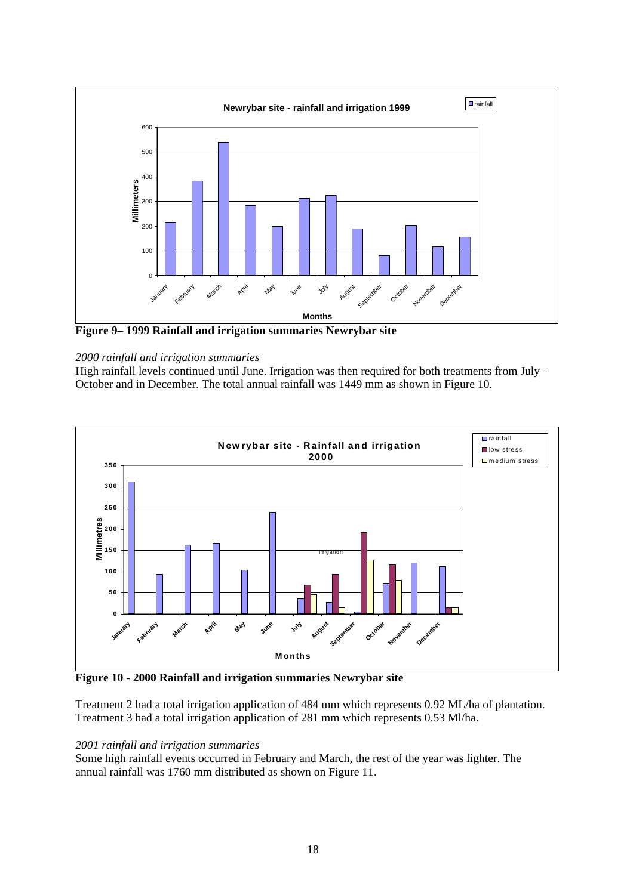

**Figure 9– 1999 Rainfall and irrigation summaries Newrybar site** 

#### *2000 rainfall and irrigation summaries*

High rainfall levels continued until June. Irrigation was then required for both treatments from July – October and in December. The total annual rainfall was 1449 mm as shown in Figure 10.



**Figure 10 - 2000 Rainfall and irrigation summaries Newrybar site** 

Treatment 2 had a total irrigation application of 484 mm which represents 0.92 ML/ha of plantation. Treatment 3 had a total irrigation application of 281 mm which represents 0.53 Ml/ha.

#### *2001 rainfall and irrigation summaries*

Some high rainfall events occurred in February and March, the rest of the year was lighter. The annual rainfall was 1760 mm distributed as shown on Figure 11.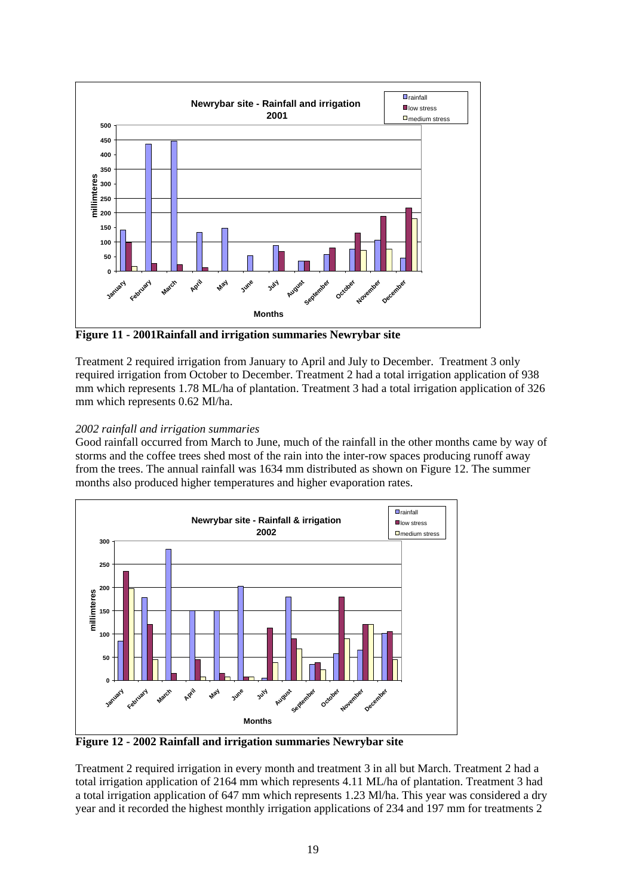

**Figure 11 - 2001Rainfall and irrigation summaries Newrybar site** 

Treatment 2 required irrigation from January to April and July to December. Treatment 3 only required irrigation from October to December. Treatment 2 had a total irrigation application of 938 mm which represents 1.78 ML/ha of plantation. Treatment 3 had a total irrigation application of 326 mm which represents 0.62 Ml/ha.

### *2002 rainfall and irrigation summaries*

Good rainfall occurred from March to June, much of the rainfall in the other months came by way of storms and the coffee trees shed most of the rain into the inter-row spaces producing runoff away from the trees. The annual rainfall was 1634 mm distributed as shown on Figure 12. The summer months also produced higher temperatures and higher evaporation rates.



**Figure 12 - 2002 Rainfall and irrigation summaries Newrybar site** 

Treatment 2 required irrigation in every month and treatment 3 in all but March. Treatment 2 had a total irrigation application of 2164 mm which represents 4.11 ML/ha of plantation. Treatment 3 had a total irrigation application of 647 mm which represents 1.23 Ml/ha. This year was considered a dry year and it recorded the highest monthly irrigation applications of 234 and 197 mm for treatments 2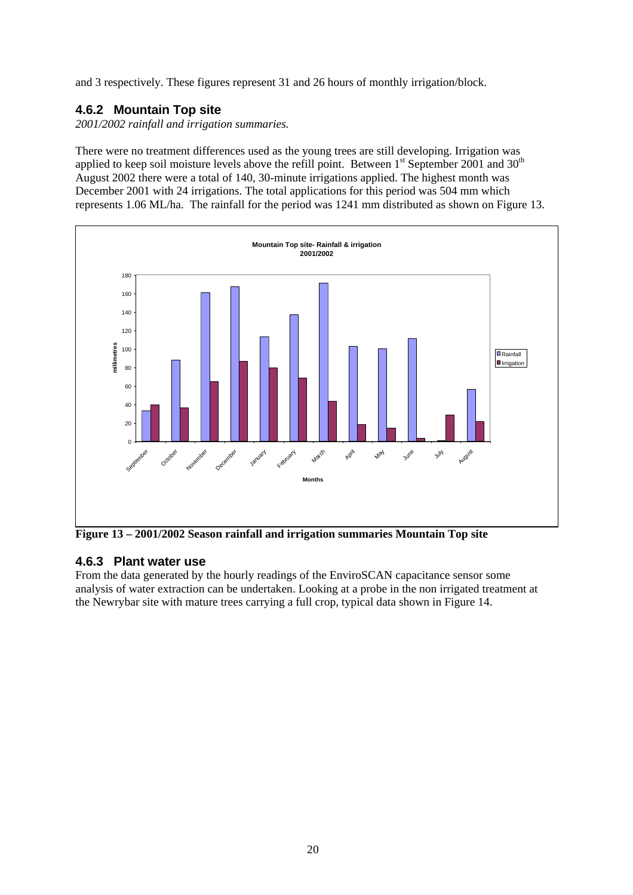and 3 respectively. These figures represent 31 and 26 hours of monthly irrigation/block.

## **4.6.2 Mountain Top site**

*2001/2002 rainfall and irrigation summaries.* 

There were no treatment differences used as the young trees are still developing. Irrigation was applied to keep soil moisture levels above the refill point. Between  $1<sup>st</sup>$  September 2001 and 30<sup>th</sup> August 2002 there were a total of 140, 30-minute irrigations applied. The highest month was December 2001 with 24 irrigations. The total applications for this period was 504 mm which represents 1.06 ML/ha. The rainfall for the period was 1241 mm distributed as shown on Figure 13.



**Figure 13 – 2001/2002 Season rainfall and irrigation summaries Mountain Top site** 

## **4.6.3 Plant water use**

From the data generated by the hourly readings of the EnviroSCAN capacitance sensor some analysis of water extraction can be undertaken. Looking at a probe in the non irrigated treatment at the Newrybar site with mature trees carrying a full crop, typical data shown in Figure 14.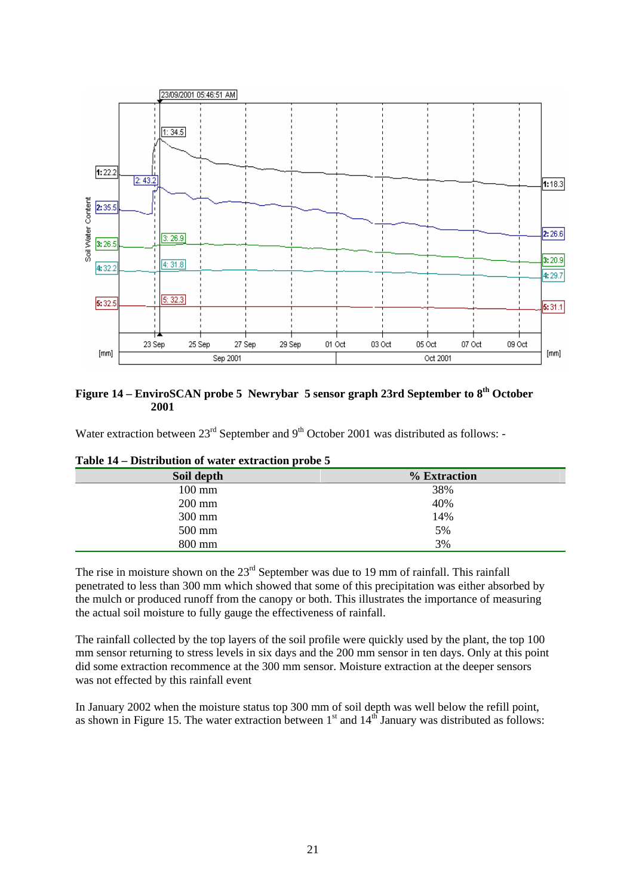

### **Figure 14 – EnviroSCAN probe 5 Newrybar 5 sensor graph 23rd September to 8th October 2001**

Water extraction between  $23<sup>rd</sup>$  September and  $9<sup>th</sup>$  October 2001 was distributed as follows: -

| Soil depth | % Extraction |
|------------|--------------|
| $100$ mm   | 38%          |
| $200$ mm   | 40%          |
| 300 mm     | 14%          |
| 500 mm     | 5%           |
| 800 mm     | 3%           |

**Table 14 – Distribution of water extraction probe 5** 

The rise in moisture shown on the 23<sup>rd</sup> September was due to 19 mm of rainfall. This rainfall penetrated to less than 300 mm which showed that some of this precipitation was either absorbed by the mulch or produced runoff from the canopy or both. This illustrates the importance of measuring the actual soil moisture to fully gauge the effectiveness of rainfall.

The rainfall collected by the top layers of the soil profile were quickly used by the plant, the top 100 mm sensor returning to stress levels in six days and the 200 mm sensor in ten days. Only at this point did some extraction recommence at the 300 mm sensor. Moisture extraction at the deeper sensors was not effected by this rainfall event

In January 2002 when the moisture status top 300 mm of soil depth was well below the refill point, as shown in Figure 15. The water extraction between  $1<sup>st</sup>$  and  $14<sup>th</sup>$  January was distributed as follows: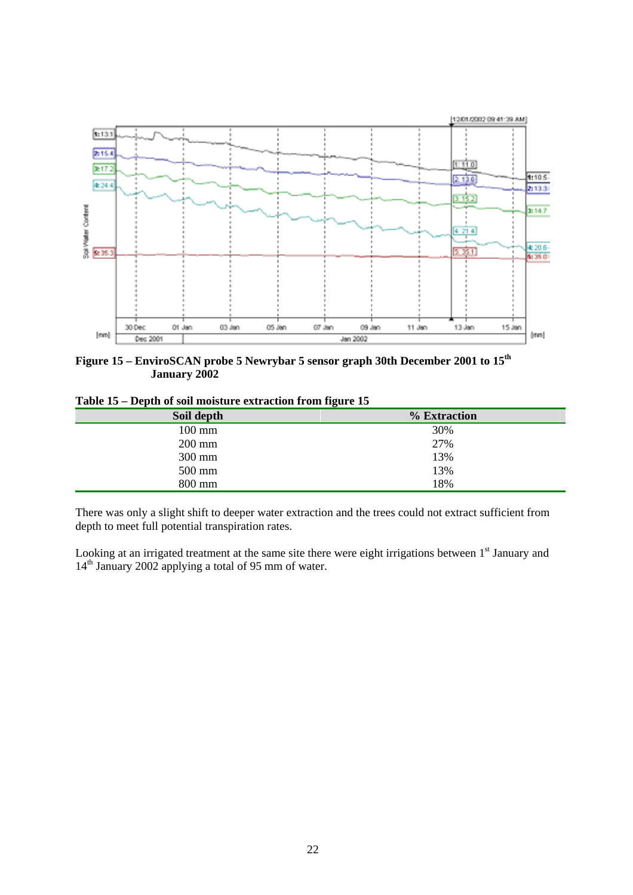

**Figure 15 – EnviroSCAN probe 5 Newrybar 5 sensor graph 30th December 2001 to 15th January 2002** 

|  |  | Table 15 – Depth of soil moisture extraction from figure 15 |  |  |
|--|--|-------------------------------------------------------------|--|--|
|  |  |                                                             |  |  |

| Soil depth       | % Extraction |
|------------------|--------------|
| $100 \text{ mm}$ | 30%          |
| $200$ mm         | 27%          |
| 300 mm           | 13%          |
| 500 mm           | 13%          |
| 800 mm           | 18%          |

There was only a slight shift to deeper water extraction and the trees could not extract sufficient from depth to meet full potential transpiration rates.

Looking at an irrigated treatment at the same site there were eight irrigations between 1<sup>st</sup> January and 14<sup>th</sup> January 2002 applying a total of 95 mm of water.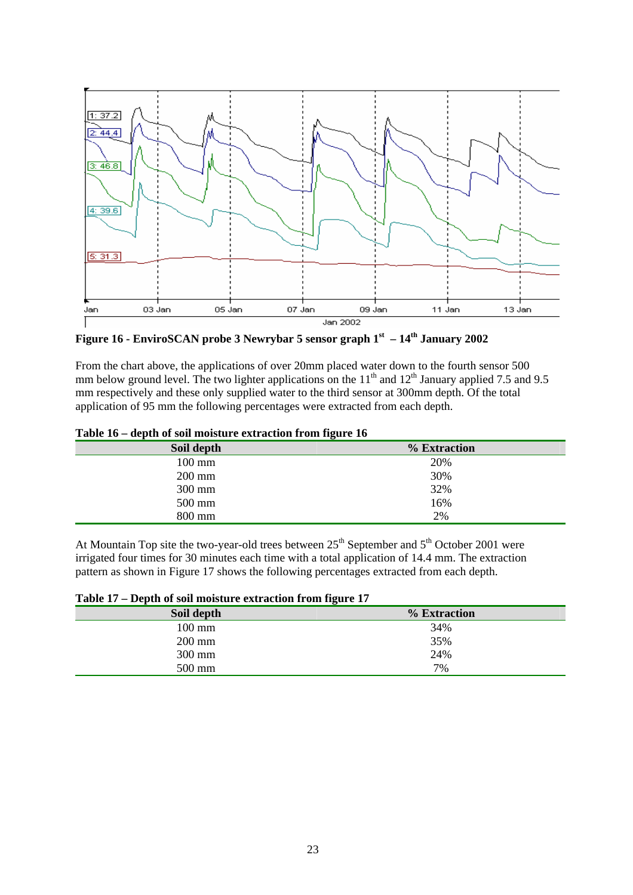

Figure 16 - EnviroSCAN probe 3 Newrybar 5 sensor graph 1<sup>st</sup> – 14<sup>th</sup> January 2002

From the chart above, the applications of over 20mm placed water down to the fourth sensor 500 mm below ground level. The two lighter applications on the  $11<sup>th</sup>$  and  $12<sup>th</sup>$  January applied 7.5 and 9.5 mm respectively and these only supplied water to the third sensor at 300mm depth. Of the total application of 95 mm the following percentages were extracted from each depth.

| TANIC TO<br>acpin of son moisture extraction from neare fo |  |  |
|------------------------------------------------------------|--|--|
| % Extraction                                               |  |  |
| 20%                                                        |  |  |
| 30%                                                        |  |  |
| 32%                                                        |  |  |
| 16%                                                        |  |  |
| 2%                                                         |  |  |
|                                                            |  |  |

**Table 16 – depth of soil moisture extraction from figure 16** 

At Mountain Top site the two-year-old trees between  $25<sup>th</sup>$  September and  $5<sup>th</sup>$  October 2001 were irrigated four times for 30 minutes each time with a total application of 14.4 mm. The extraction pattern as shown in Figure 17 shows the following percentages extracted from each depth.

| Soil depth | % Extraction |  |
|------------|--------------|--|
| 100 mm     | 34%          |  |
| $200$ mm   | 35%          |  |
| 300 mm     | 24%          |  |
| 500 mm     | 7%           |  |

**Table 17 – Depth of soil moisture extraction from figure 17**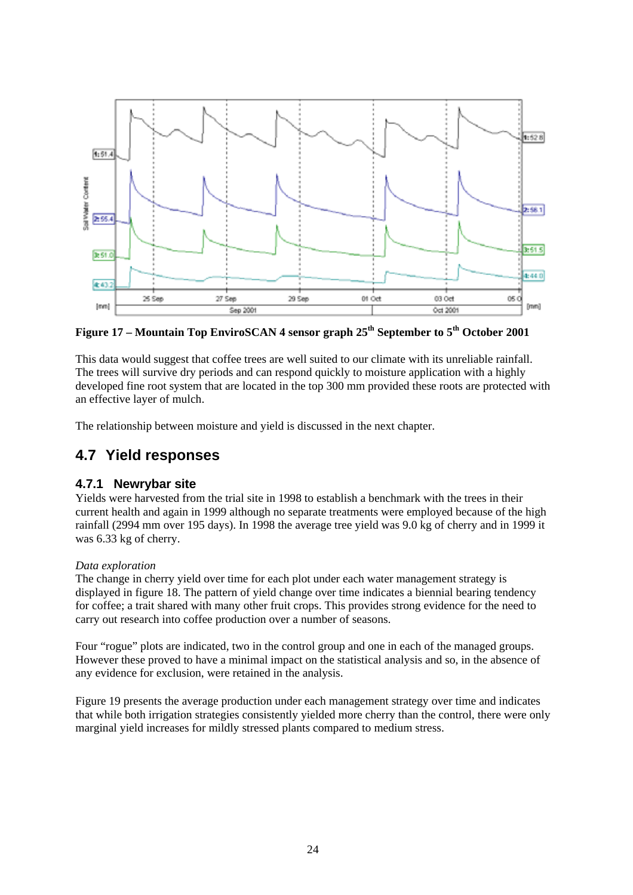

**Figure 17 – Mountain Top EnviroSCAN 4 sensor graph 25th September to 5th October 2001** 

This data would suggest that coffee trees are well suited to our climate with its unreliable rainfall. The trees will survive dry periods and can respond quickly to moisture application with a highly developed fine root system that are located in the top 300 mm provided these roots are protected with an effective layer of mulch.

The relationship between moisture and yield is discussed in the next chapter.

## **4.7 Yield responses**

## **4.7.1 Newrybar site**

Yields were harvested from the trial site in 1998 to establish a benchmark with the trees in their current health and again in 1999 although no separate treatments were employed because of the high rainfall (2994 mm over 195 days). In 1998 the average tree yield was 9.0 kg of cherry and in 1999 it was 6.33 kg of cherry.

### *Data exploration*

The change in cherry yield over time for each plot under each water management strategy is displayed in figure 18. The pattern of yield change over time indicates a biennial bearing tendency for coffee; a trait shared with many other fruit crops. This provides strong evidence for the need to carry out research into coffee production over a number of seasons.

Four "rogue" plots are indicated, two in the control group and one in each of the managed groups. However these proved to have a minimal impact on the statistical analysis and so, in the absence of any evidence for exclusion, were retained in the analysis.

Figure 19 presents the average production under each management strategy over time and indicates that while both irrigation strategies consistently yielded more cherry than the control, there were only marginal yield increases for mildly stressed plants compared to medium stress.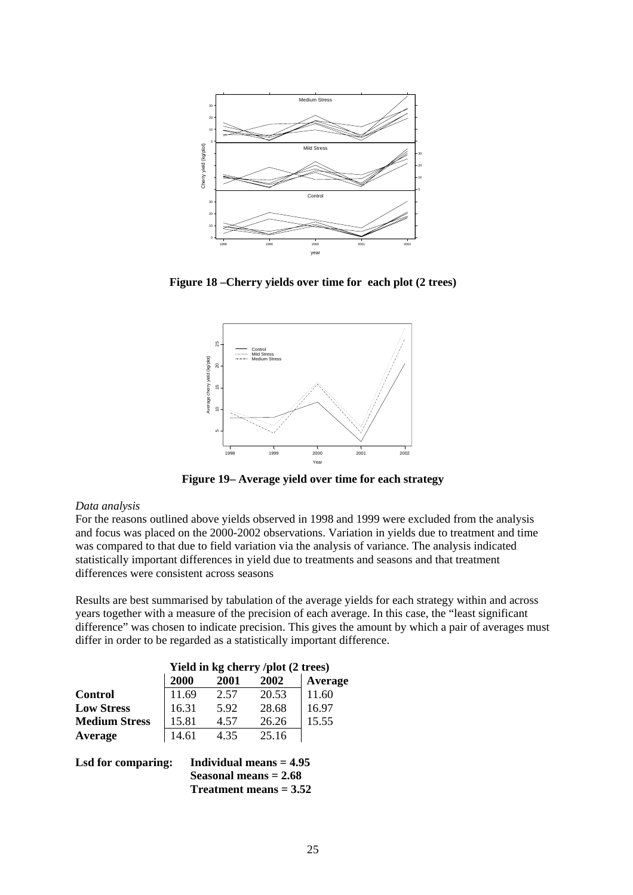

**Figure 18 –Cherry yields over time for each plot (2 trees)** 



**Figure 19– Average yield over time for each strategy** 

#### *Data analysis*

For the reasons outlined above yields observed in 1998 and 1999 were excluded from the analysis and focus was placed on the 2000-2002 observations. Variation in yields due to treatment and time was compared to that due to field variation via the analysis of variance. The analysis indicated statistically important differences in yield due to treatments and seasons and that treatment differences were consistent across seasons

Results are best summarised by tabulation of the average yields for each strategy within and across years together with a measure of the precision of each average. In this case, the "least significant difference" was chosen to indicate precision. This gives the amount by which a pair of averages must differ in order to be regarded as a statistically important difference.

|                      | Yield in kg cherry /plot (2 trees) |      |       |         |
|----------------------|------------------------------------|------|-------|---------|
|                      | 2000                               | 2001 | 2002  | Average |
| <b>Control</b>       | 11.69                              | 2.57 | 20.53 | 11.60   |
| <b>Low Stress</b>    | 16.31                              | 5.92 | 28.68 | 16.97   |
| <b>Medium Stress</b> | 15.81                              | 4.57 | 26.26 | 15.55   |
| Average              | 14.61                              | 4.35 | 25.16 |         |
|                      |                                    |      |       |         |

**Lsd for comparing: Individual means = 4.95 Seasonal means = 2.68 Treatment means = 3.52**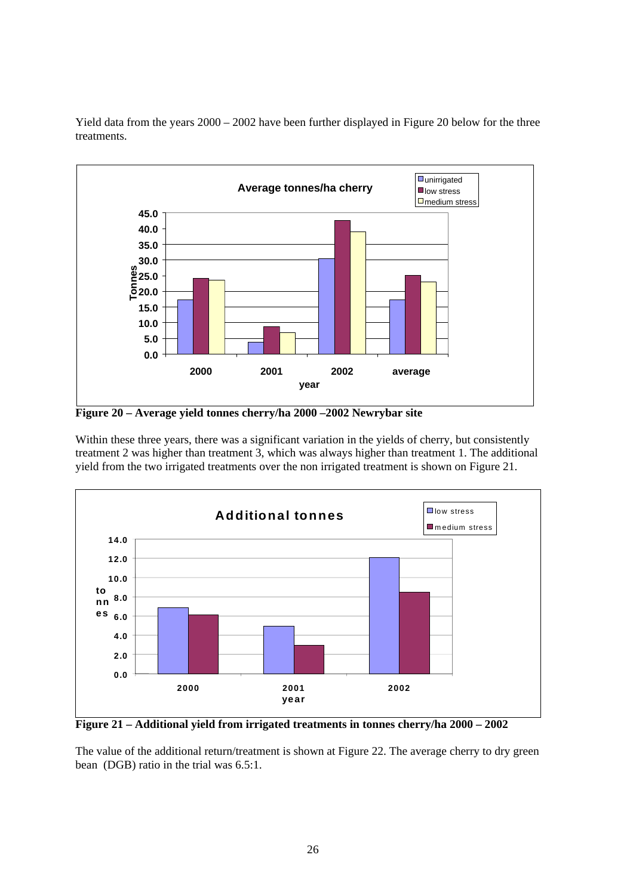

Yield data from the years 2000 – 2002 have been further displayed in Figure 20 below for the three treatments.

**Figure 20 – Average yield tonnes cherry/ha 2000 –2002 Newrybar site** 

Within these three years, there was a significant variation in the yields of cherry, but consistently treatment 2 was higher than treatment 3, which was always higher than treatment 1. The additional yield from the two irrigated treatments over the non irrigated treatment is shown on Figure 21.



**Figure 21 – Additional yield from irrigated treatments in tonnes cherry/ha 2000 – 2002** 

The value of the additional return/treatment is shown at Figure 22. The average cherry to dry green bean (DGB) ratio in the trial was 6.5:1.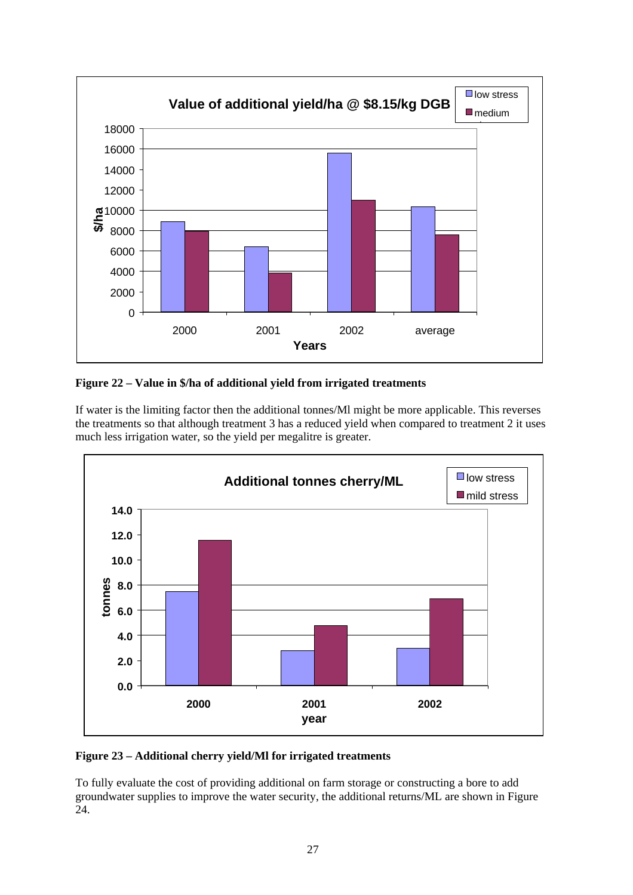

**Figure 22 – Value in \$/ha of additional yield from irrigated treatments** 

If water is the limiting factor then the additional tonnes/Ml might be more applicable. This reverses the treatments so that although treatment 3 has a reduced yield when compared to treatment 2 it uses much less irrigation water, so the yield per megalitre is greater.



### **Figure 23 – Additional cherry yield/Ml for irrigated treatments**

To fully evaluate the cost of providing additional on farm storage or constructing a bore to add groundwater supplies to improve the water security, the additional returns/ML are shown in Figure 24.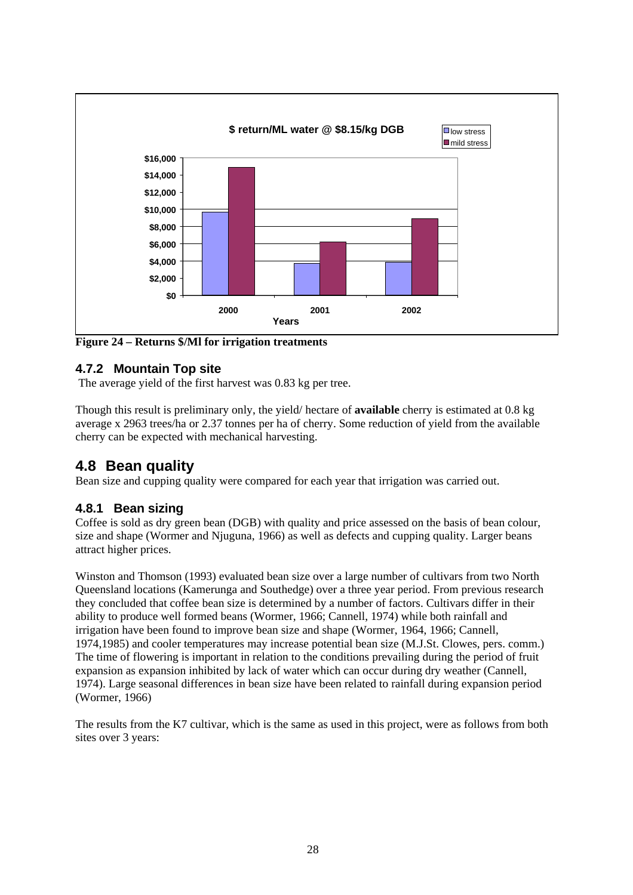

**Figure 24 – Returns \$/Ml for irrigation treatments** 

## **4.7.2 Mountain Top site**

The average yield of the first harvest was 0.83 kg per tree.

Though this result is preliminary only, the yield/ hectare of **available** cherry is estimated at 0.8 kg average x 2963 trees/ha or 2.37 tonnes per ha of cherry. Some reduction of yield from the available cherry can be expected with mechanical harvesting.

## **4.8 Bean quality**

Bean size and cupping quality were compared for each year that irrigation was carried out.

## **4.8.1 Bean sizing**

Coffee is sold as dry green bean (DGB) with quality and price assessed on the basis of bean colour, size and shape (Wormer and Njuguna, 1966) as well as defects and cupping quality. Larger beans attract higher prices.

Winston and Thomson (1993) evaluated bean size over a large number of cultivars from two North Queensland locations (Kamerunga and Southedge) over a three year period. From previous research they concluded that coffee bean size is determined by a number of factors. Cultivars differ in their ability to produce well formed beans (Wormer, 1966; Cannell, 1974) while both rainfall and irrigation have been found to improve bean size and shape (Wormer, 1964, 1966; Cannell, 1974,1985) and cooler temperatures may increase potential bean size (M.J.St. Clowes, pers. comm.) The time of flowering is important in relation to the conditions prevailing during the period of fruit expansion as expansion inhibited by lack of water which can occur during dry weather (Cannell, 1974). Large seasonal differences in bean size have been related to rainfall during expansion period (Wormer, 1966)

The results from the K7 cultivar, which is the same as used in this project, were as follows from both sites over 3 years: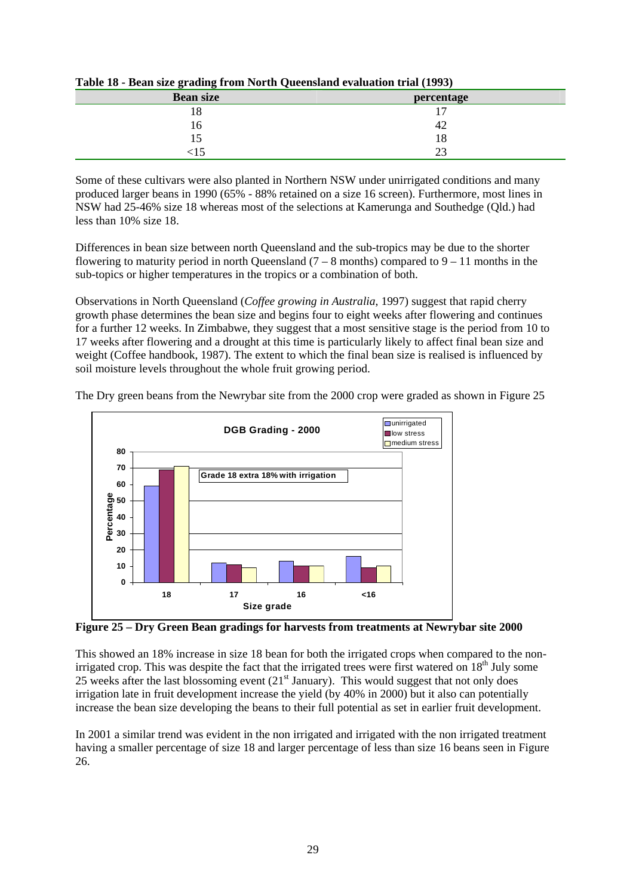| <b>Bean size</b> | percentage |
|------------------|------------|
| 18               |            |
| 16               | 42         |
| L                | 8          |
|                  | ΩΩ<br>~~   |

**Table 18 - Bean size grading from North Queensland evaluation trial (1993)** 

Some of these cultivars were also planted in Northern NSW under unirrigated conditions and many produced larger beans in 1990 (65% - 88% retained on a size 16 screen). Furthermore, most lines in NSW had 25-46% size 18 whereas most of the selections at Kamerunga and Southedge (Qld.) had less than 10% size 18.

Differences in bean size between north Queensland and the sub-tropics may be due to the shorter flowering to maturity period in north Queensland  $(7 - 8$  months) compared to  $9 - 11$  months in the sub-topics or higher temperatures in the tropics or a combination of both.

Observations in North Queensland (*Coffee growing in Australia*, 1997) suggest that rapid cherry growth phase determines the bean size and begins four to eight weeks after flowering and continues for a further 12 weeks. In Zimbabwe, they suggest that a most sensitive stage is the period from 10 to 17 weeks after flowering and a drought at this time is particularly likely to affect final bean size and weight (Coffee handbook, 1987). The extent to which the final bean size is realised is influenced by soil moisture levels throughout the whole fruit growing period.



The Dry green beans from the Newrybar site from the 2000 crop were graded as shown in Figure 25

**Figure 25 – Dry Green Bean gradings for harvests from treatments at Newrybar site 2000** 

This showed an 18% increase in size 18 bean for both the irrigated crops when compared to the nonirrigated crop. This was despite the fact that the irrigated trees were first watered on  $18<sup>th</sup>$  July some 25 weeks after the last blossoming event  $(21<sup>st</sup> January)$ . This would suggest that not only does irrigation late in fruit development increase the yield (by 40% in 2000) but it also can potentially increase the bean size developing the beans to their full potential as set in earlier fruit development.

In 2001 a similar trend was evident in the non irrigated and irrigated with the non irrigated treatment having a smaller percentage of size 18 and larger percentage of less than size 16 beans seen in Figure 26.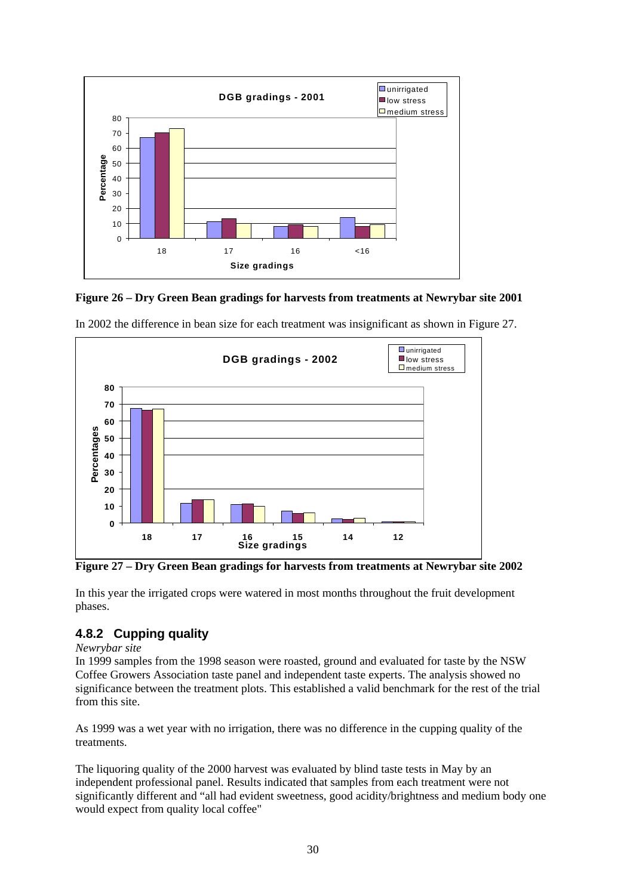

**Figure 26 – Dry Green Bean gradings for harvests from treatments at Newrybar site 2001** 



In 2002 the difference in bean size for each treatment was insignificant as shown in Figure 27.

**Figure 27 – Dry Green Bean gradings for harvests from treatments at Newrybar site 2002** 

In this year the irrigated crops were watered in most months throughout the fruit development phases.

## **4.8.2 Cupping quality**

*Newrybar site* 

In 1999 samples from the 1998 season were roasted, ground and evaluated for taste by the NSW Coffee Growers Association taste panel and independent taste experts. The analysis showed no significance between the treatment plots. This established a valid benchmark for the rest of the trial from this site.

As 1999 was a wet year with no irrigation, there was no difference in the cupping quality of the treatments.

The liquoring quality of the 2000 harvest was evaluated by blind taste tests in May by an independent professional panel. Results indicated that samples from each treatment were not significantly different and "all had evident sweetness, good acidity/brightness and medium body one would expect from quality local coffee"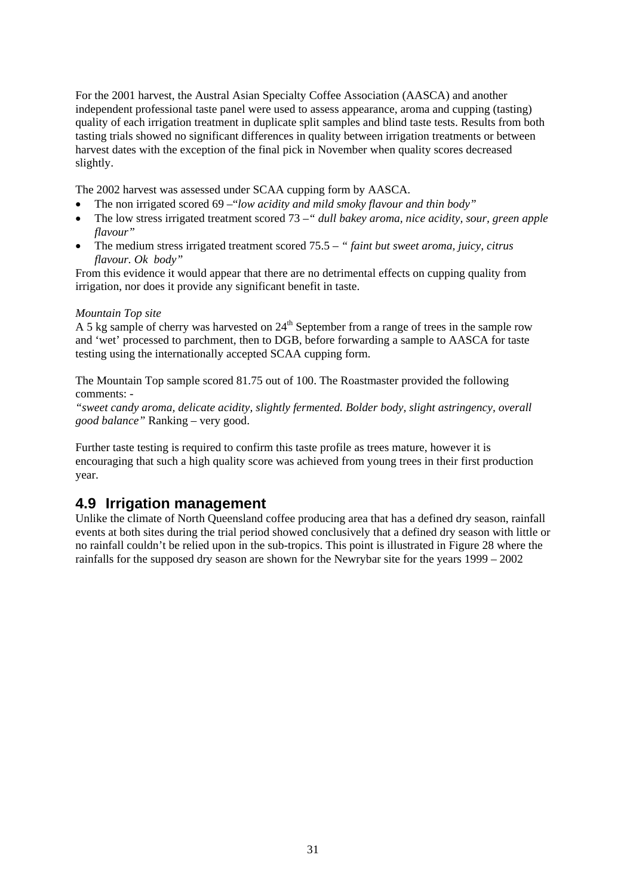For the 2001 harvest, the Austral Asian Specialty Coffee Association (AASCA) and another independent professional taste panel were used to assess appearance, aroma and cupping (tasting) quality of each irrigation treatment in duplicate split samples and blind taste tests. Results from both tasting trials showed no significant differences in quality between irrigation treatments or between harvest dates with the exception of the final pick in November when quality scores decreased slightly.

The 2002 harvest was assessed under SCAA cupping form by AASCA.

- The non irrigated scored 69 –"*low acidity and mild smoky flavour and thin body"*
- The low stress irrigated treatment scored 73 –*" dull bakey aroma, nice acidity, sour, green apple flavour"*
- The medium stress irrigated treatment scored 75.5 *" faint but sweet aroma, juicy, citrus flavour. Ok body"*

From this evidence it would appear that there are no detrimental effects on cupping quality from irrigation, nor does it provide any significant benefit in taste.

#### *Mountain Top site*

A 5 kg sample of cherry was harvested on  $24<sup>th</sup>$  September from a range of trees in the sample row and 'wet' processed to parchment, then to DGB, before forwarding a sample to AASCA for taste testing using the internationally accepted SCAA cupping form.

The Mountain Top sample scored 81.75 out of 100. The Roastmaster provided the following comments: -

*"sweet candy aroma, delicate acidity, slightly fermented. Bolder body, slight astringency, overall good balance"* Ranking – very good.

Further taste testing is required to confirm this taste profile as trees mature, however it is encouraging that such a high quality score was achieved from young trees in their first production year.

## **4.9 Irrigation management**

Unlike the climate of North Queensland coffee producing area that has a defined dry season, rainfall events at both sites during the trial period showed conclusively that a defined dry season with little or no rainfall couldn't be relied upon in the sub-tropics. This point is illustrated in Figure 28 where the rainfalls for the supposed dry season are shown for the Newrybar site for the years 1999 – 2002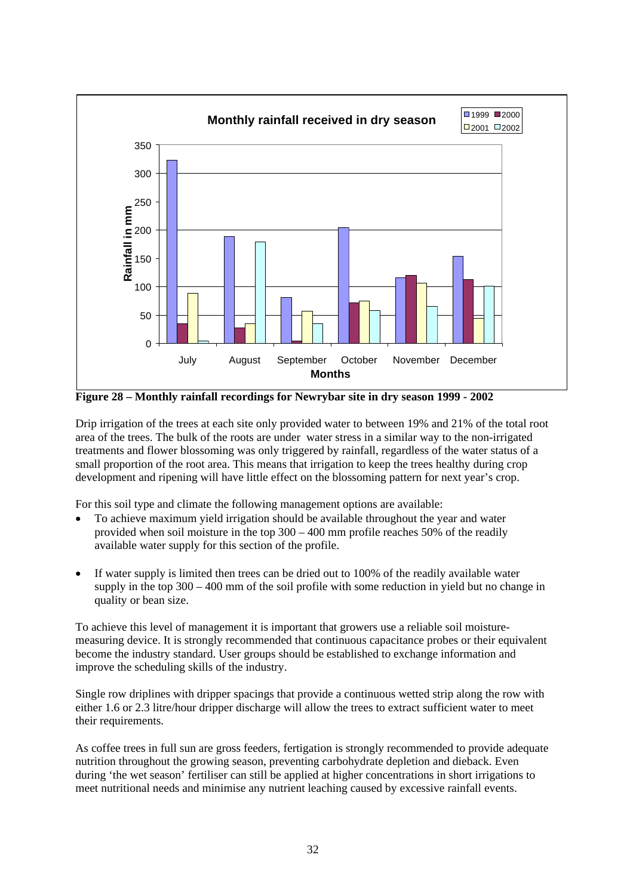

**Figure 28 – Monthly rainfall recordings for Newrybar site in dry season 1999 - 2002** 

Drip irrigation of the trees at each site only provided water to between 19% and 21% of the total root area of the trees. The bulk of the roots are under water stress in a similar way to the non-irrigated treatments and flower blossoming was only triggered by rainfall, regardless of the water status of a small proportion of the root area. This means that irrigation to keep the trees healthy during crop development and ripening will have little effect on the blossoming pattern for next year's crop.

For this soil type and climate the following management options are available:

- To achieve maximum yield irrigation should be available throughout the year and water provided when soil moisture in the top 300 – 400 mm profile reaches 50% of the readily available water supply for this section of the profile.
- If water supply is limited then trees can be dried out to 100% of the readily available water supply in the top 300 – 400 mm of the soil profile with some reduction in yield but no change in quality or bean size.

To achieve this level of management it is important that growers use a reliable soil moisturemeasuring device. It is strongly recommended that continuous capacitance probes or their equivalent become the industry standard. User groups should be established to exchange information and improve the scheduling skills of the industry.

Single row driplines with dripper spacings that provide a continuous wetted strip along the row with either 1.6 or 2.3 litre/hour dripper discharge will allow the trees to extract sufficient water to meet their requirements.

As coffee trees in full sun are gross feeders, fertigation is strongly recommended to provide adequate nutrition throughout the growing season, preventing carbohydrate depletion and dieback. Even during 'the wet season' fertiliser can still be applied at higher concentrations in short irrigations to meet nutritional needs and minimise any nutrient leaching caused by excessive rainfall events.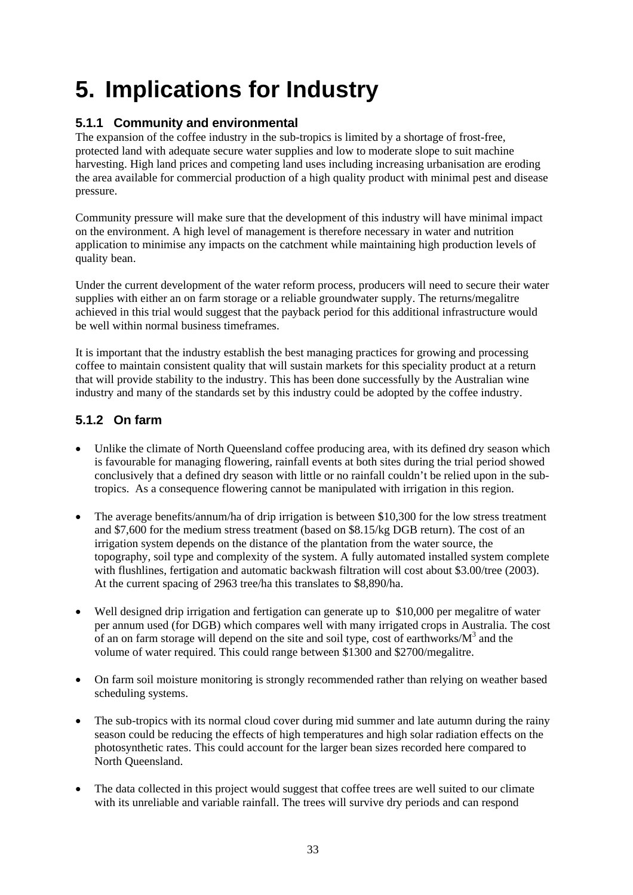# **5. Implications for Industry**

## **5.1.1 Community and environmental**

The expansion of the coffee industry in the sub-tropics is limited by a shortage of frost-free, protected land with adequate secure water supplies and low to moderate slope to suit machine harvesting. High land prices and competing land uses including increasing urbanisation are eroding the area available for commercial production of a high quality product with minimal pest and disease pressure.

Community pressure will make sure that the development of this industry will have minimal impact on the environment. A high level of management is therefore necessary in water and nutrition application to minimise any impacts on the catchment while maintaining high production levels of quality bean.

Under the current development of the water reform process, producers will need to secure their water supplies with either an on farm storage or a reliable groundwater supply. The returns/megalitre achieved in this trial would suggest that the payback period for this additional infrastructure would be well within normal business timeframes.

It is important that the industry establish the best managing practices for growing and processing coffee to maintain consistent quality that will sustain markets for this speciality product at a return that will provide stability to the industry. This has been done successfully by the Australian wine industry and many of the standards set by this industry could be adopted by the coffee industry.

## **5.1.2 On farm**

- Unlike the climate of North Queensland coffee producing area, with its defined dry season which is favourable for managing flowering, rainfall events at both sites during the trial period showed conclusively that a defined dry season with little or no rainfall couldn't be relied upon in the subtropics. As a consequence flowering cannot be manipulated with irrigation in this region.
- The average benefits/annum/ha of drip irrigation is between \$10,300 for the low stress treatment and \$7,600 for the medium stress treatment (based on \$8.15/kg DGB return). The cost of an irrigation system depends on the distance of the plantation from the water source, the topography, soil type and complexity of the system. A fully automated installed system complete with flushlines, fertigation and automatic backwash filtration will cost about \$3.00/tree (2003). At the current spacing of 2963 tree/ha this translates to \$8,890/ha.
- Well designed drip irrigation and fertigation can generate up to \$10,000 per megalitre of water per annum used (for DGB) which compares well with many irrigated crops in Australia. The cost of an on farm storage will depend on the site and soil type, cost of earthworks/ $M^3$  and the volume of water required. This could range between \$1300 and \$2700/megalitre.
- On farm soil moisture monitoring is strongly recommended rather than relying on weather based scheduling systems.
- The sub-tropics with its normal cloud cover during mid summer and late autumn during the rainy season could be reducing the effects of high temperatures and high solar radiation effects on the photosynthetic rates. This could account for the larger bean sizes recorded here compared to North Queensland.
- The data collected in this project would suggest that coffee trees are well suited to our climate with its unreliable and variable rainfall. The trees will survive dry periods and can respond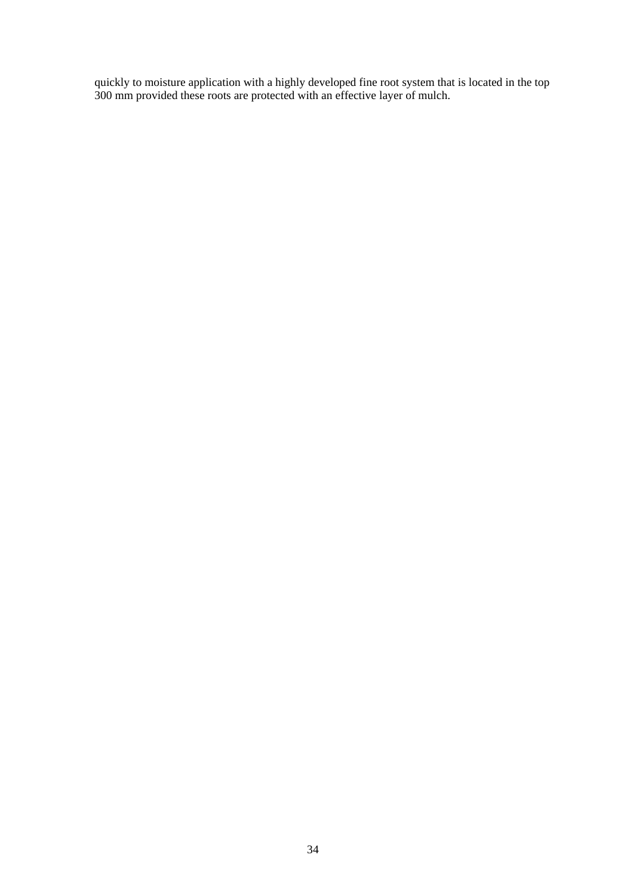quickly to moisture application with a highly developed fine root system that is located in the top 300 mm provided these roots are protected with an effective layer of mulch.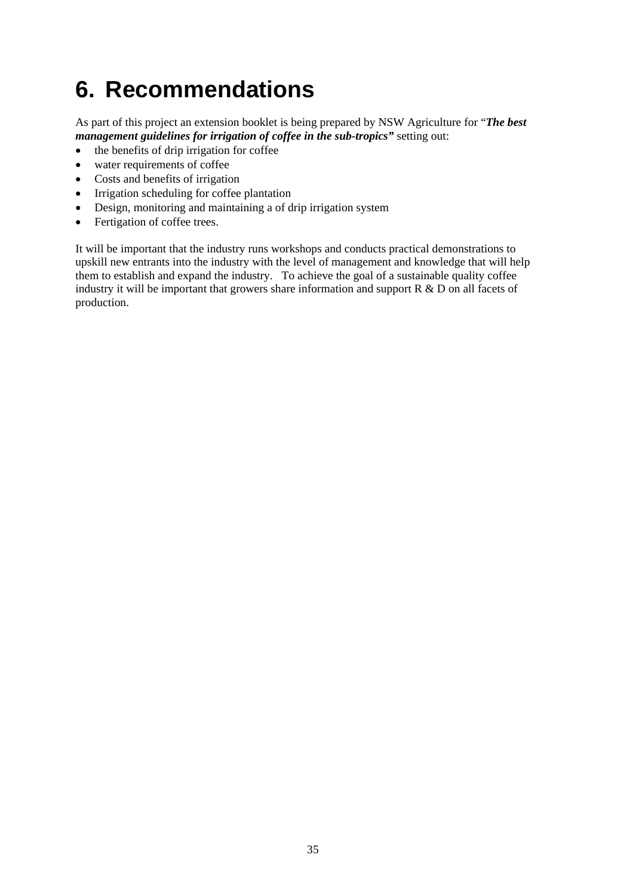# **6. Recommendations**

As part of this project an extension booklet is being prepared by NSW Agriculture for "*The best management guidelines for irrigation of coffee in the sub-tropics"* setting out:

- the benefits of drip irrigation for coffee
- water requirements of coffee
- Costs and benefits of irrigation
- Irrigation scheduling for coffee plantation
- Design, monitoring and maintaining a of drip irrigation system
- Fertigation of coffee trees.

It will be important that the industry runs workshops and conducts practical demonstrations to upskill new entrants into the industry with the level of management and knowledge that will help them to establish and expand the industry. To achieve the goal of a sustainable quality coffee industry it will be important that growers share information and support R & D on all facets of production.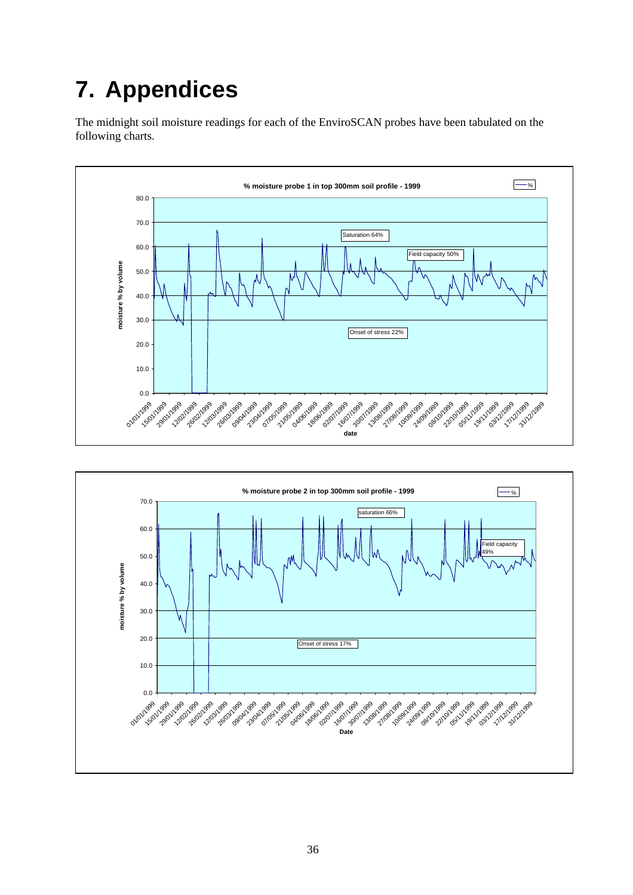# **7. Appendices**

The midnight soil moisture readings for each of the EnviroSCAN probes have been tabulated on the following charts.



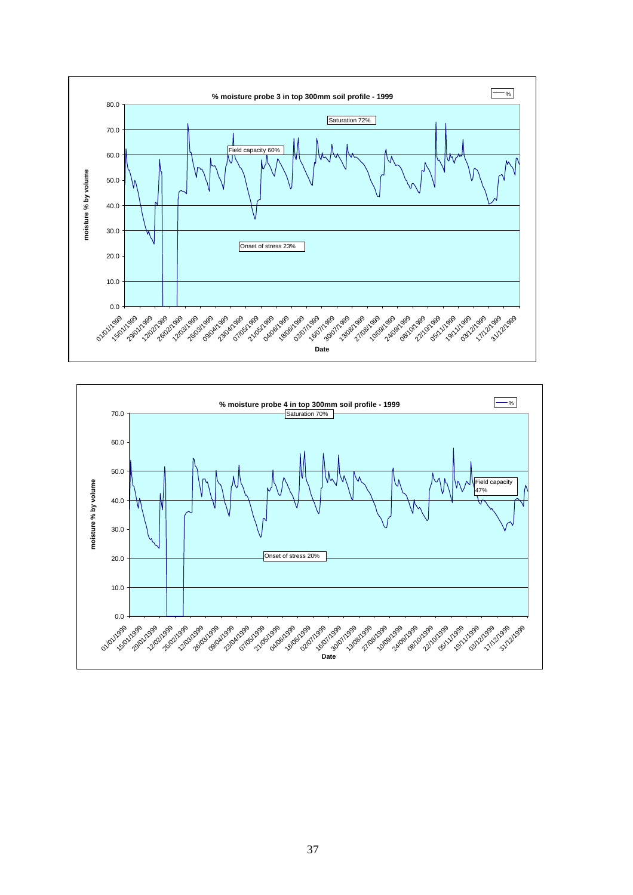

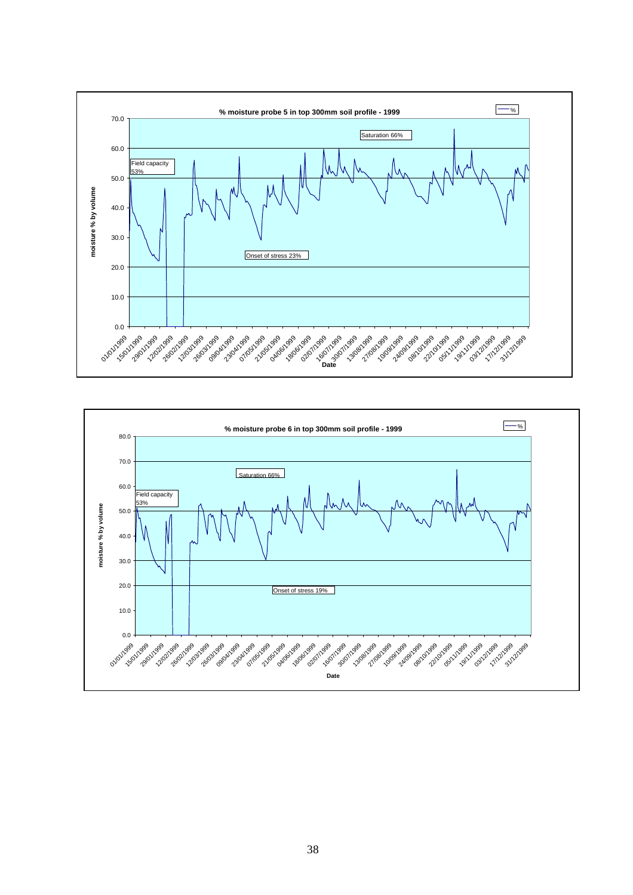

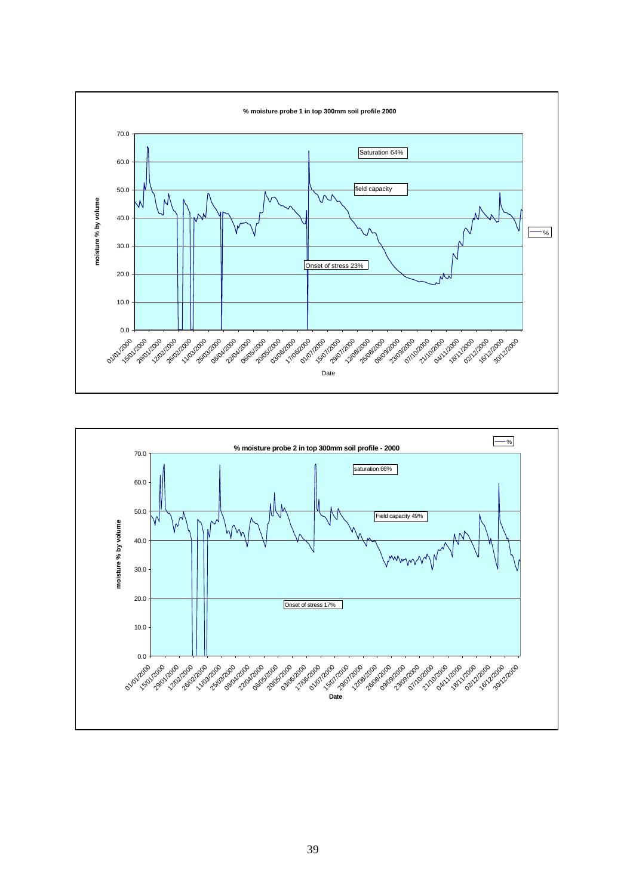

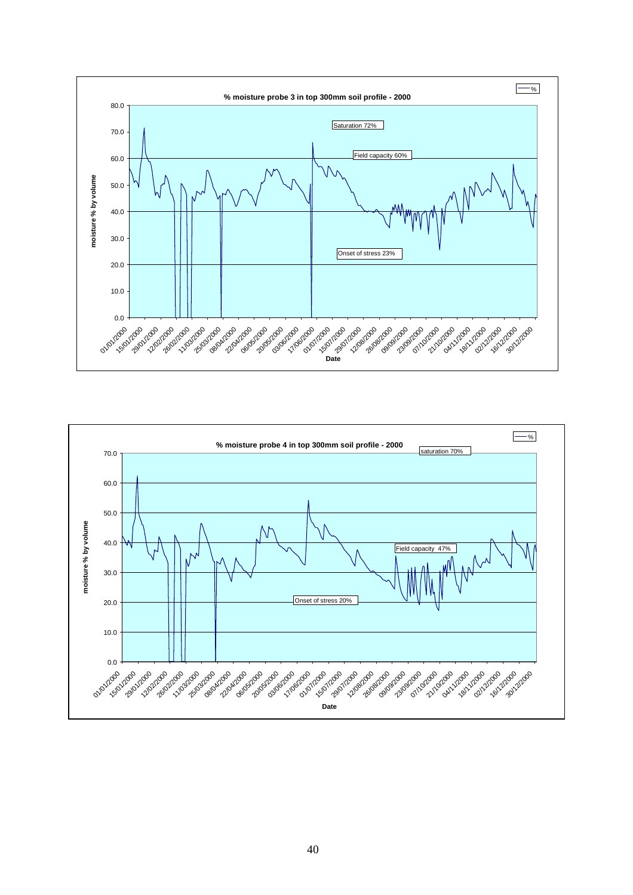

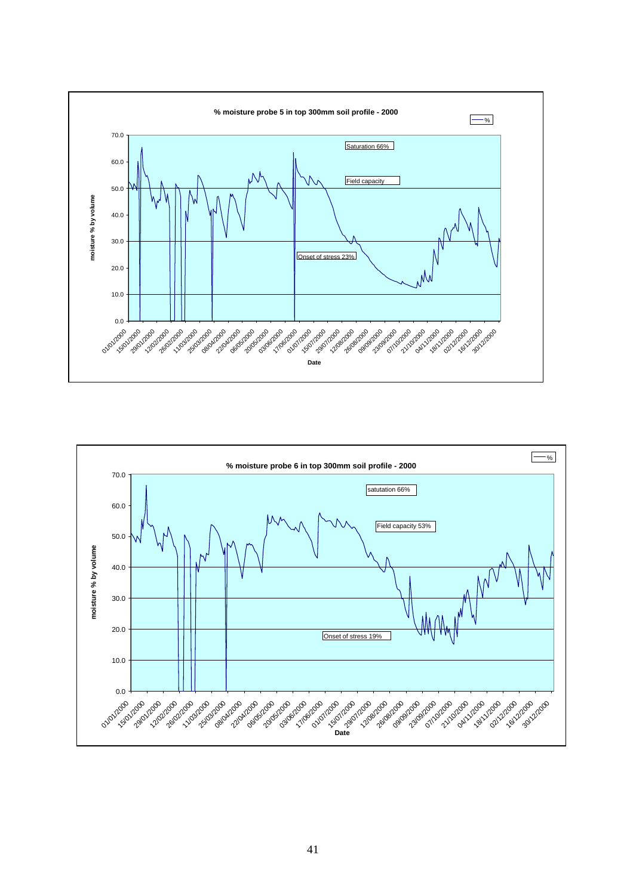

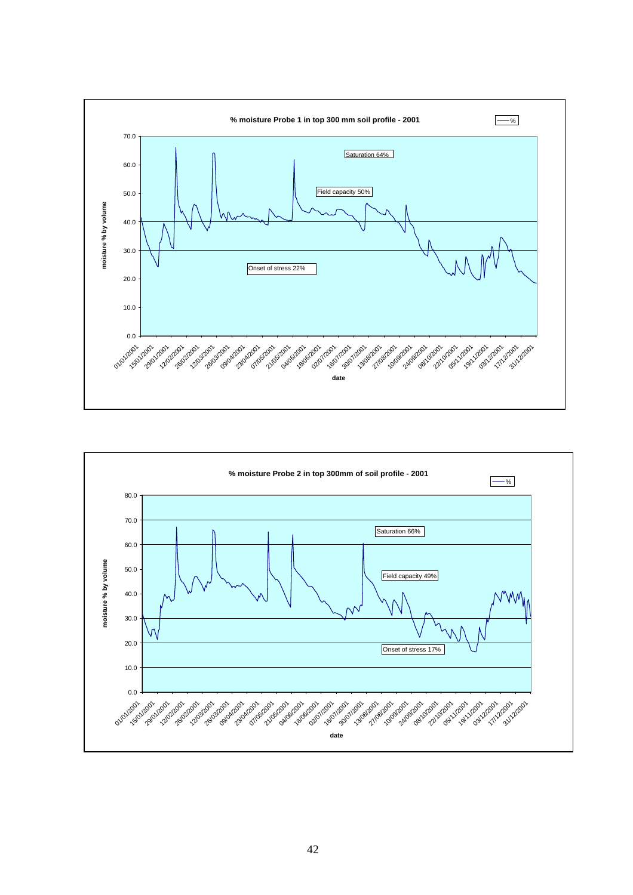

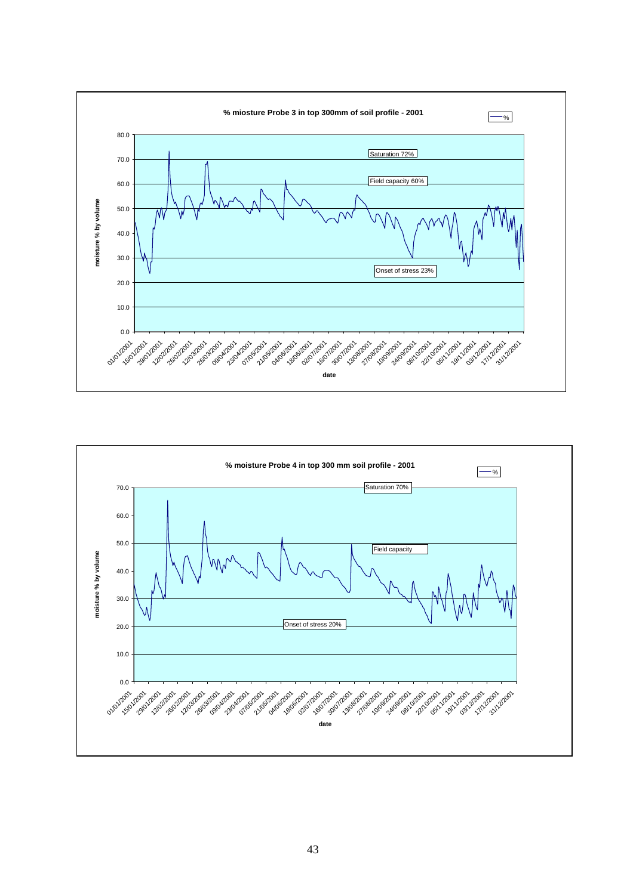

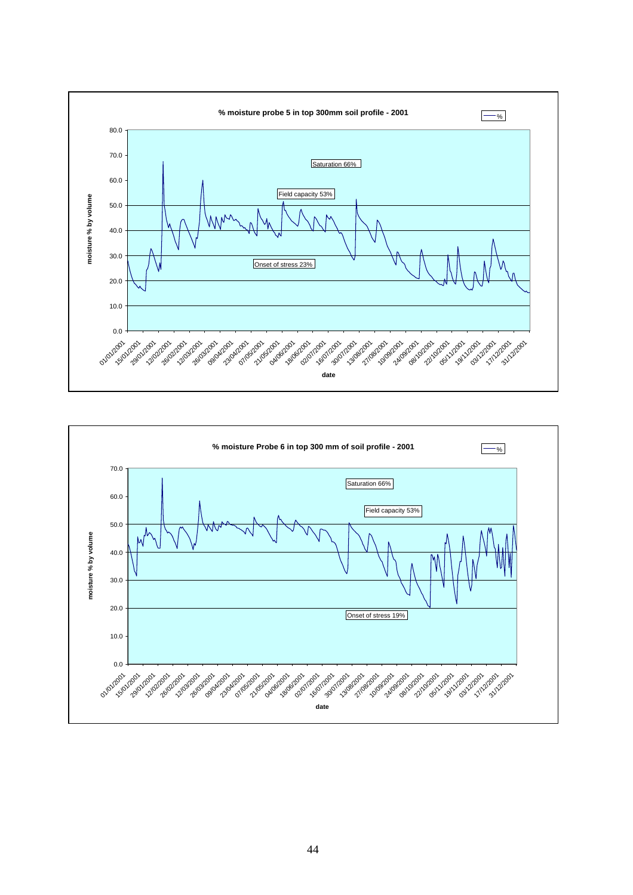

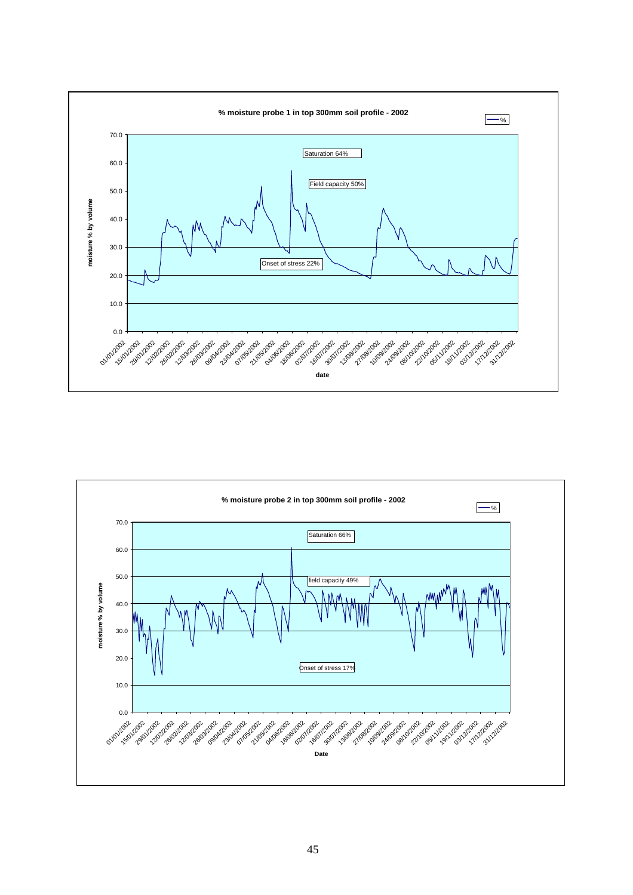

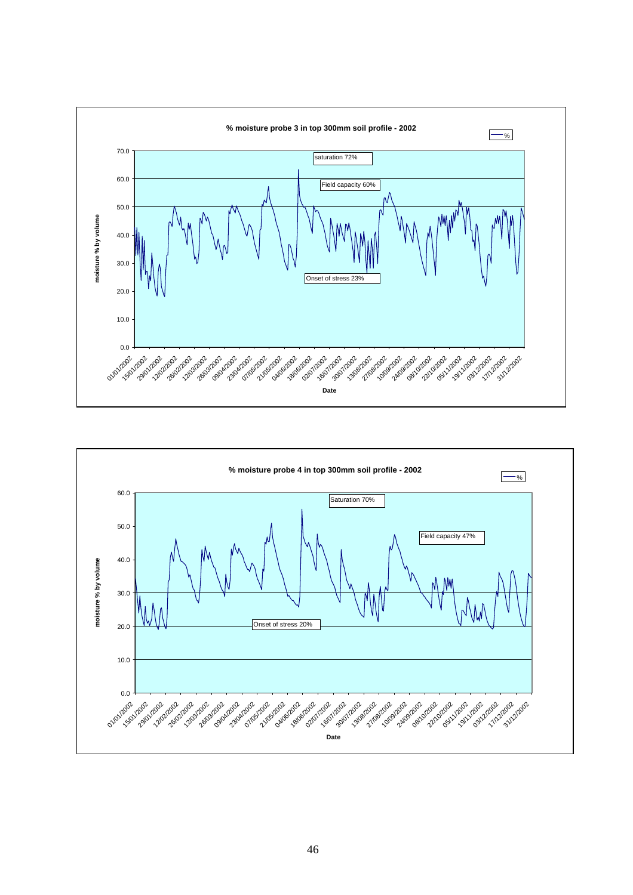

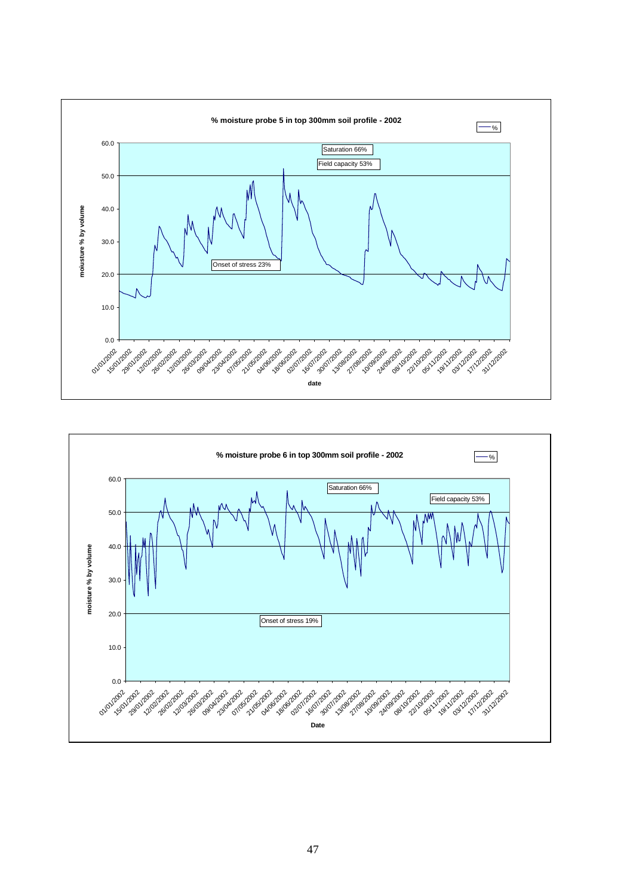

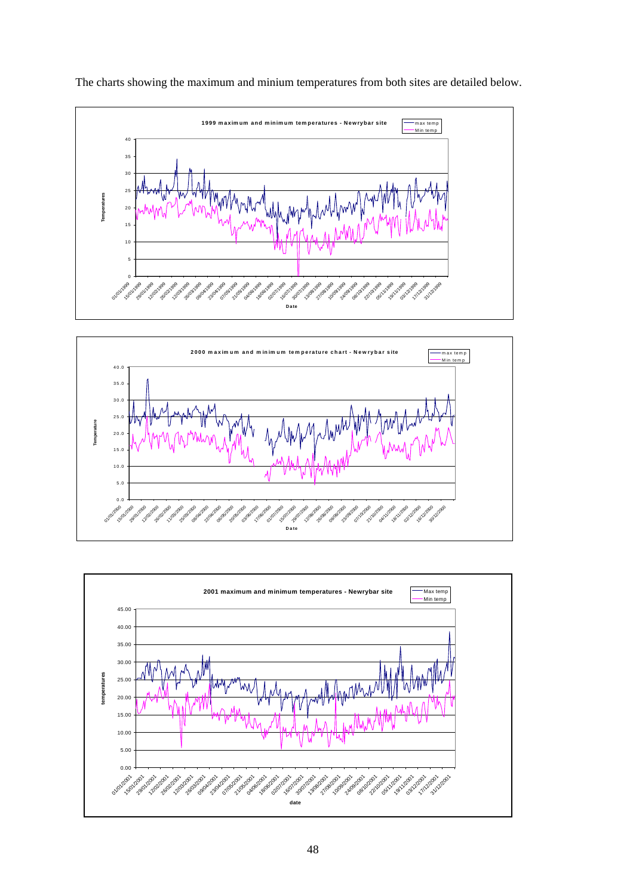

The charts showing the maximum and minium temperatures from both sites are detailed below.



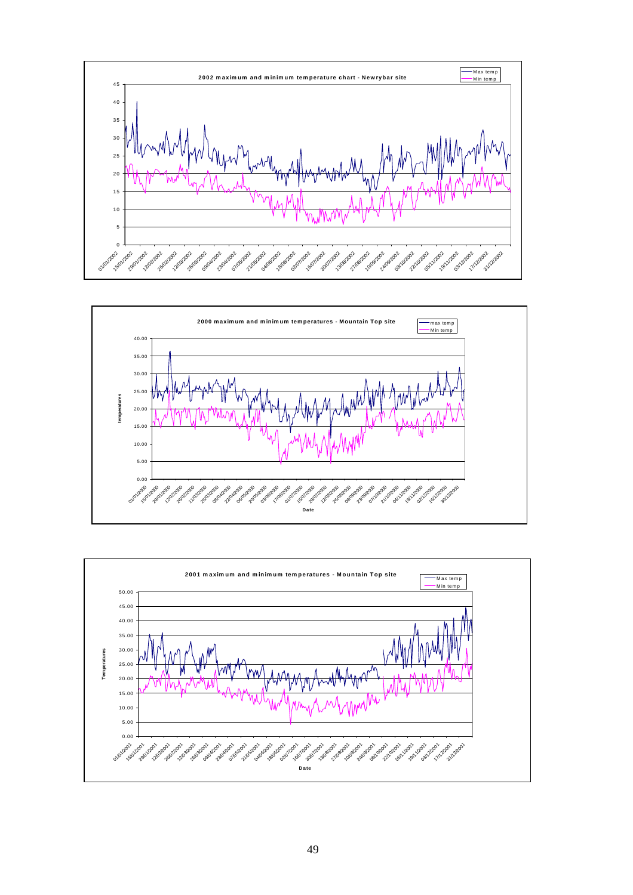



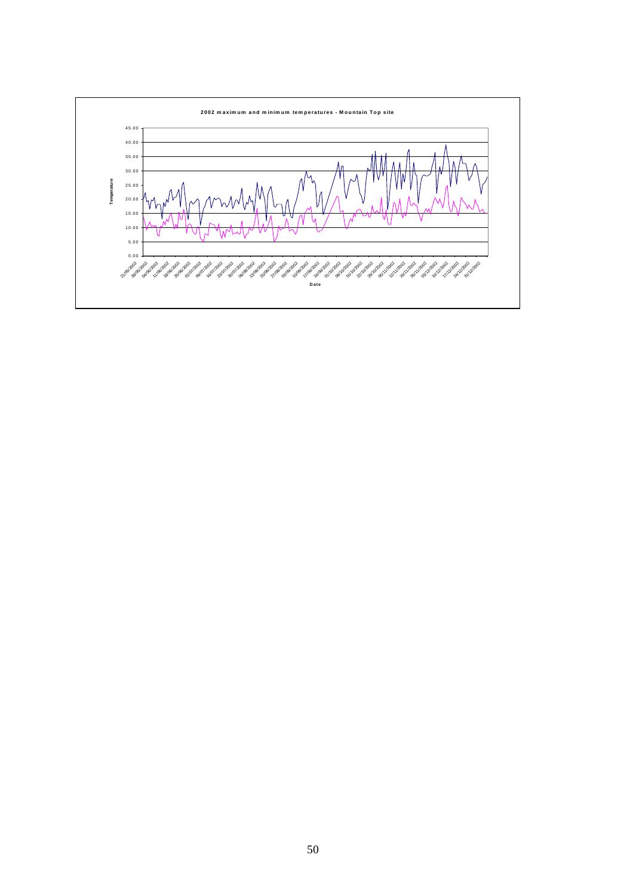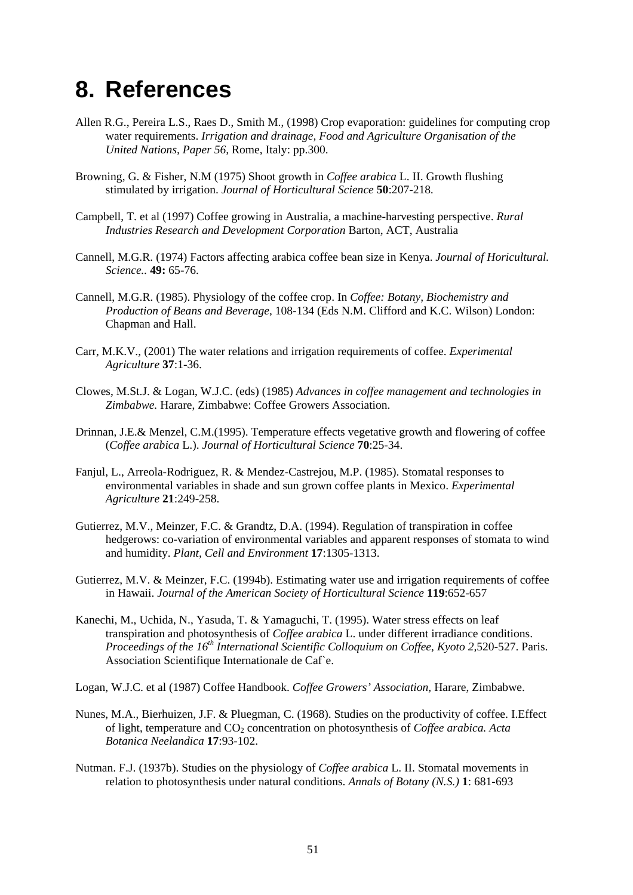# **8. References**

- Allen R.G., Pereira L.S., Raes D., Smith M., (1998) Crop evaporation: guidelines for computing crop water requirements. *Irrigation and drainage, Food and Agriculture Organisation of the United Nations, Paper 56,* Rome, Italy: pp.300.
- Browning, G. & Fisher, N.M (1975) Shoot growth in *Coffee arabica* L. II. Growth flushing stimulated by irrigation. *Journal of Horticultural Science* **50**:207-218*.*
- Campbell, T. et al (1997) Coffee growing in Australia, a machine-harvesting perspective. *Rural Industries Research and Development Corporation* Barton, ACT, Australia
- Cannell, M.G.R. (1974) Factors affecting arabica coffee bean size in Kenya. *Journal of Horicultural. Science..* **49:** 65-76.
- Cannell, M.G.R. (1985). Physiology of the coffee crop. In *Coffee: Botany, Biochemistry and Production of Beans and Beverage,* 108-134 (Eds N.M. Clifford and K.C. Wilson) London: Chapman and Hall.
- Carr, M.K.V., (2001) The water relations and irrigation requirements of coffee. *Experimental Agriculture* **37**:1-36.
- Clowes, M.St.J. & Logan, W.J.C. (eds) (1985) *Advances in coffee management and technologies in Zimbabwe.* Harare, Zimbabwe: Coffee Growers Association.
- Drinnan, J.E.& Menzel, C.M.(1995). Temperature effects vegetative growth and flowering of coffee (*Coffee arabica* L.). *Journal of Horticultural Science* **70**:25-34.
- Fanjul, L., Arreola-Rodriguez, R. & Mendez-Castrejou, M.P. (1985). Stomatal responses to environmental variables in shade and sun grown coffee plants in Mexico. *Experimental Agriculture* **21**:249-258.
- Gutierrez, M.V., Meinzer, F.C. & Grandtz, D.A. (1994). Regulation of transpiration in coffee hedgerows: co-variation of environmental variables and apparent responses of stomata to wind and humidity. *Plant, Cell and Environment* **17**:1305-1313.
- Gutierrez, M.V. & Meinzer, F.C. (1994b). Estimating water use and irrigation requirements of coffee in Hawaii. *Journal of the American Society of Horticultural Science* **119**:652-657
- Kanechi, M., Uchida, N., Yasuda, T. & Yamaguchi, T. (1995). Water stress effects on leaf transpiration and photosynthesis of *Coffee arabica* L. under different irradiance conditions. *Proceedings of the 16<sup>th</sup> International Scientific Colloquium on Coffee, Kyoto 2,520-527. Paris.* Association Scientifique Internationale de Caf`e.
- Logan, W.J.C. et al (1987) Coffee Handbook. *Coffee Growers' Association,* Harare, Zimbabwe.
- Nunes, M.A., Bierhuizen, J.F. & Pluegman, C. (1968). Studies on the productivity of coffee. I.Effect of light, temperature and CO<sub>2</sub> concentration on photosynthesis of *Coffee arabica. Acta Botanica Neelandica* **17**:93-102.
- Nutman. F.J. (1937b). Studies on the physiology of *Coffee arabica* L. II. Stomatal movements in relation to photosynthesis under natural conditions. *Annals of Botany (N.S.)* **1**: 681-693